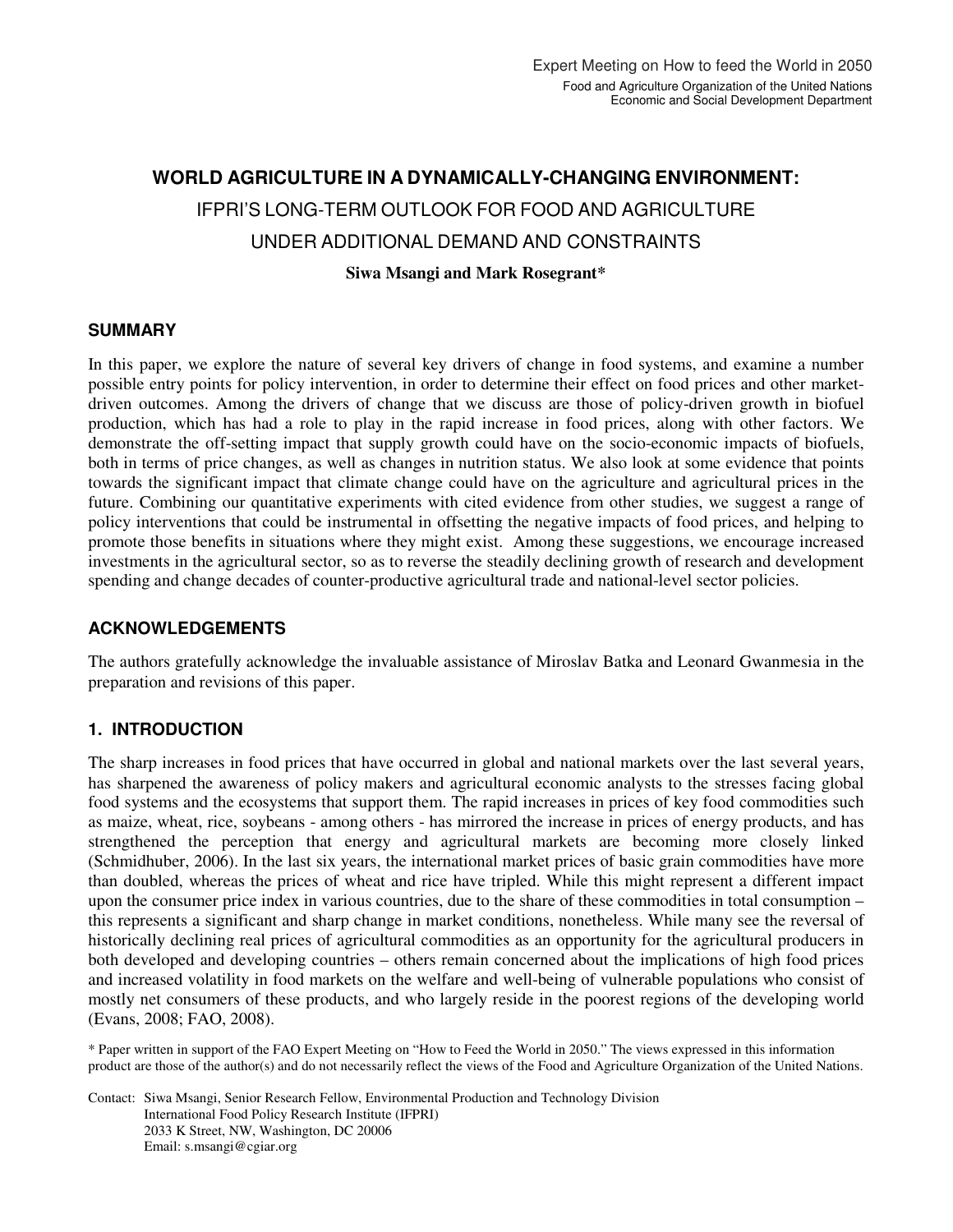# **WORLD AGRICULTURE IN A DYNAMICALLY-CHANGING ENVIRONMENT:**  IFPRI'S LONG-TERM OUTLOOK FOR FOOD AND AGRICULTURE UNDER ADDITIONAL DEMAND AND CONSTRAINTS

**Siwa Msangi and Mark Rosegrant\*** 

# **SUMMARY**

In this paper, we explore the nature of several key drivers of change in food systems, and examine a number possible entry points for policy intervention, in order to determine their effect on food prices and other marketdriven outcomes. Among the drivers of change that we discuss are those of policy-driven growth in biofuel production, which has had a role to play in the rapid increase in food prices, along with other factors. We demonstrate the off-setting impact that supply growth could have on the socio-economic impacts of biofuels, both in terms of price changes, as well as changes in nutrition status. We also look at some evidence that points towards the significant impact that climate change could have on the agriculture and agricultural prices in the future. Combining our quantitative experiments with cited evidence from other studies, we suggest a range of policy interventions that could be instrumental in offsetting the negative impacts of food prices, and helping to promote those benefits in situations where they might exist. Among these suggestions, we encourage increased investments in the agricultural sector, so as to reverse the steadily declining growth of research and development spending and change decades of counter-productive agricultural trade and national-level sector policies.

# **ACKNOWLEDGEMENTS**

The authors gratefully acknowledge the invaluable assistance of Miroslav Batka and Leonard Gwanmesia in the preparation and revisions of this paper.

# **1. INTRODUCTION**

The sharp increases in food prices that have occurred in global and national markets over the last several years, has sharpened the awareness of policy makers and agricultural economic analysts to the stresses facing global food systems and the ecosystems that support them. The rapid increases in prices of key food commodities such as maize, wheat, rice, soybeans - among others - has mirrored the increase in prices of energy products, and has strengthened the perception that energy and agricultural markets are becoming more closely linked (Schmidhuber, 2006). In the last six years, the international market prices of basic grain commodities have more than doubled, whereas the prices of wheat and rice have tripled. While this might represent a different impact upon the consumer price index in various countries, due to the share of these commodities in total consumption – this represents a significant and sharp change in market conditions, nonetheless. While many see the reversal of historically declining real prices of agricultural commodities as an opportunity for the agricultural producers in both developed and developing countries – others remain concerned about the implications of high food prices and increased volatility in food markets on the welfare and well-being of vulnerable populations who consist of mostly net consumers of these products, and who largely reside in the poorest regions of the developing world (Evans, 2008; FAO, 2008).

\* Paper written in support of the FAO Expert Meeting on "How to Feed the World in 2050." The views expressed in this information product are those of the author(s) and do not necessarily reflect the views of the Food and Agriculture Organization of the United Nations.

Contact: Siwa Msangi, Senior Research Fellow, Environmental Production and Technology Division International Food Policy Research Institute (IFPRI) 2033 K Street, NW, Washington, DC 20006 Email: s.msangi@cgiar.org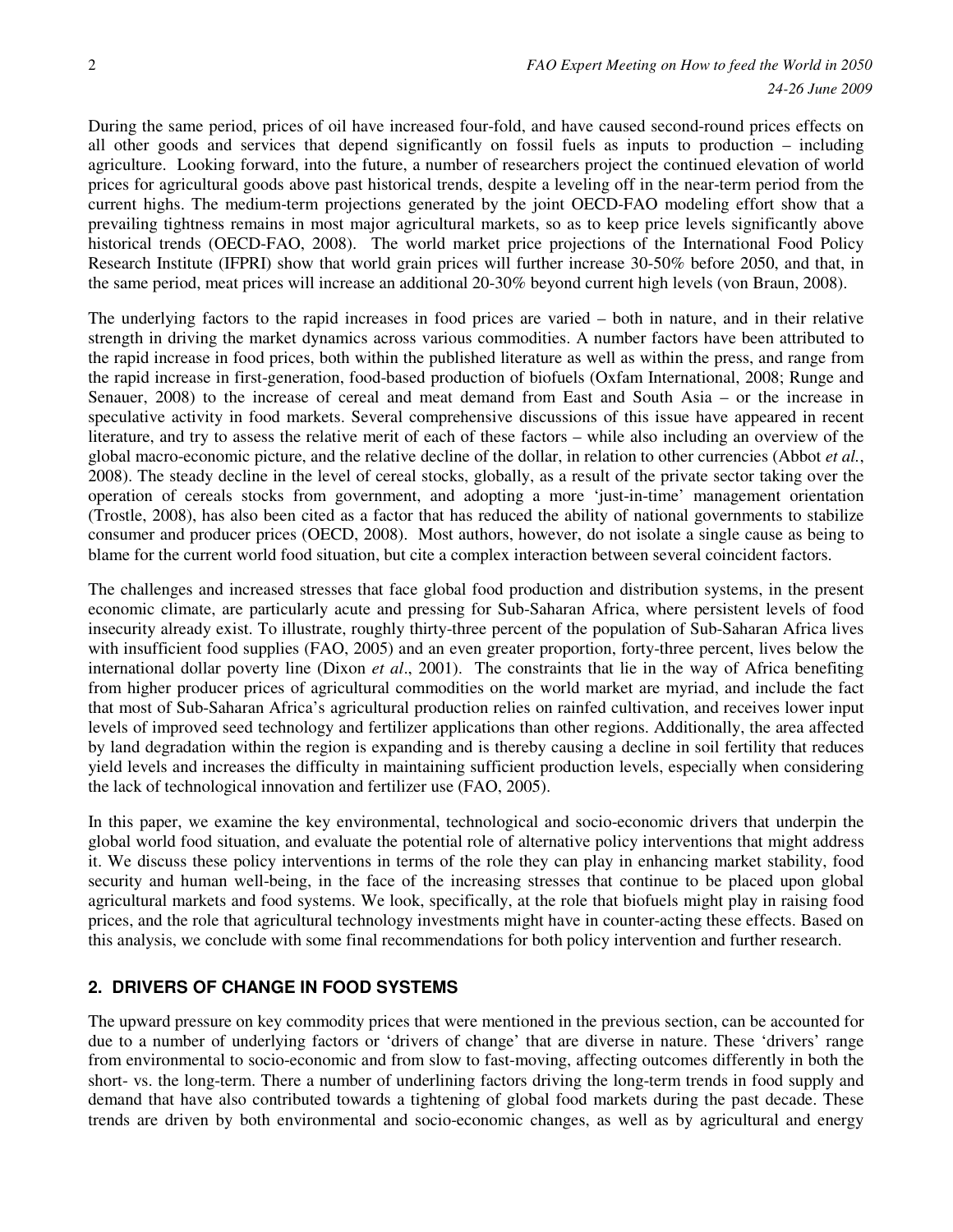During the same period, prices of oil have increased four-fold, and have caused second-round prices effects on all other goods and services that depend significantly on fossil fuels as inputs to production – including agriculture. Looking forward, into the future, a number of researchers project the continued elevation of world prices for agricultural goods above past historical trends, despite a leveling off in the near-term period from the current highs. The medium-term projections generated by the joint OECD-FAO modeling effort show that a prevailing tightness remains in most major agricultural markets, so as to keep price levels significantly above historical trends (OECD-FAO, 2008). The world market price projections of the International Food Policy Research Institute (IFPRI) show that world grain prices will further increase 30-50% before 2050, and that, in the same period, meat prices will increase an additional 20-30% beyond current high levels (von Braun, 2008).

The underlying factors to the rapid increases in food prices are varied – both in nature, and in their relative strength in driving the market dynamics across various commodities. A number factors have been attributed to the rapid increase in food prices, both within the published literature as well as within the press, and range from the rapid increase in first-generation, food-based production of biofuels (Oxfam International, 2008; Runge and Senauer, 2008) to the increase of cereal and meat demand from East and South Asia – or the increase in speculative activity in food markets. Several comprehensive discussions of this issue have appeared in recent literature, and try to assess the relative merit of each of these factors – while also including an overview of the global macro-economic picture, and the relative decline of the dollar, in relation to other currencies (Abbot *et al.*, 2008). The steady decline in the level of cereal stocks, globally, as a result of the private sector taking over the operation of cereals stocks from government, and adopting a more 'just-in-time' management orientation (Trostle, 2008), has also been cited as a factor that has reduced the ability of national governments to stabilize consumer and producer prices (OECD, 2008). Most authors, however, do not isolate a single cause as being to blame for the current world food situation, but cite a complex interaction between several coincident factors.

The challenges and increased stresses that face global food production and distribution systems, in the present economic climate, are particularly acute and pressing for Sub-Saharan Africa, where persistent levels of food insecurity already exist. To illustrate, roughly thirty-three percent of the population of Sub-Saharan Africa lives with insufficient food supplies (FAO, 2005) and an even greater proportion, forty-three percent, lives below the international dollar poverty line (Dixon *et al*., 2001). The constraints that lie in the way of Africa benefiting from higher producer prices of agricultural commodities on the world market are myriad, and include the fact that most of Sub-Saharan Africa's agricultural production relies on rainfed cultivation, and receives lower input levels of improved seed technology and fertilizer applications than other regions. Additionally, the area affected by land degradation within the region is expanding and is thereby causing a decline in soil fertility that reduces yield levels and increases the difficulty in maintaining sufficient production levels, especially when considering the lack of technological innovation and fertilizer use (FAO, 2005).

In this paper, we examine the key environmental, technological and socio-economic drivers that underpin the global world food situation, and evaluate the potential role of alternative policy interventions that might address it. We discuss these policy interventions in terms of the role they can play in enhancing market stability, food security and human well-being, in the face of the increasing stresses that continue to be placed upon global agricultural markets and food systems. We look, specifically, at the role that biofuels might play in raising food prices, and the role that agricultural technology investments might have in counter-acting these effects. Based on this analysis, we conclude with some final recommendations for both policy intervention and further research.

# **2. DRIVERS OF CHANGE IN FOOD SYSTEMS**

The upward pressure on key commodity prices that were mentioned in the previous section, can be accounted for due to a number of underlying factors or 'drivers of change' that are diverse in nature. These 'drivers' range from environmental to socio-economic and from slow to fast-moving, affecting outcomes differently in both the short- vs. the long-term. There a number of underlining factors driving the long-term trends in food supply and demand that have also contributed towards a tightening of global food markets during the past decade. These trends are driven by both environmental and socio-economic changes, as well as by agricultural and energy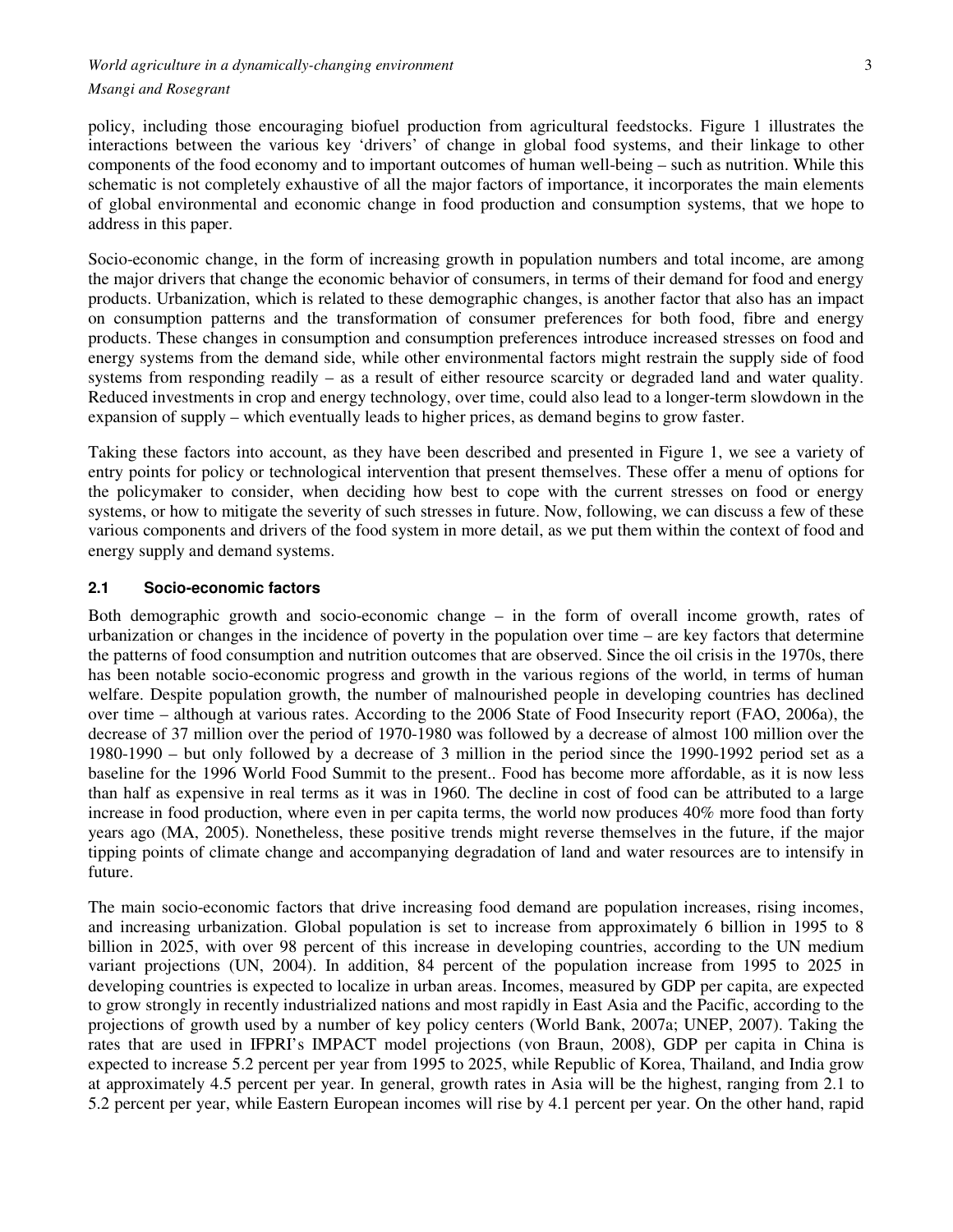# *World agriculture in a dynamically-changing environment*  $\frac{3}{2}$ *Msangi and Rosegrant*

policy, including those encouraging biofuel production from agricultural feedstocks. Figure 1 illustrates the interactions between the various key 'drivers' of change in global food systems, and their linkage to other components of the food economy and to important outcomes of human well-being – such as nutrition. While this schematic is not completely exhaustive of all the major factors of importance, it incorporates the main elements of global environmental and economic change in food production and consumption systems, that we hope to address in this paper.

Socio-economic change, in the form of increasing growth in population numbers and total income, are among the major drivers that change the economic behavior of consumers, in terms of their demand for food and energy products. Urbanization, which is related to these demographic changes, is another factor that also has an impact on consumption patterns and the transformation of consumer preferences for both food, fibre and energy products. These changes in consumption and consumption preferences introduce increased stresses on food and energy systems from the demand side, while other environmental factors might restrain the supply side of food systems from responding readily – as a result of either resource scarcity or degraded land and water quality. Reduced investments in crop and energy technology, over time, could also lead to a longer-term slowdown in the expansion of supply – which eventually leads to higher prices, as demand begins to grow faster.

Taking these factors into account, as they have been described and presented in Figure 1, we see a variety of entry points for policy or technological intervention that present themselves. These offer a menu of options for the policymaker to consider, when deciding how best to cope with the current stresses on food or energy systems, or how to mitigate the severity of such stresses in future. Now, following, we can discuss a few of these various components and drivers of the food system in more detail, as we put them within the context of food and energy supply and demand systems.

## **2.1 Socio-economic factors**

Both demographic growth and socio-economic change – in the form of overall income growth, rates of urbanization or changes in the incidence of poverty in the population over time – are key factors that determine the patterns of food consumption and nutrition outcomes that are observed. Since the oil crisis in the 1970s, there has been notable socio-economic progress and growth in the various regions of the world, in terms of human welfare. Despite population growth, the number of malnourished people in developing countries has declined over time – although at various rates. According to the 2006 State of Food Insecurity report (FAO, 2006a), the decrease of 37 million over the period of 1970-1980 was followed by a decrease of almost 100 million over the 1980-1990 – but only followed by a decrease of 3 million in the period since the 1990-1992 period set as a baseline for the 1996 World Food Summit to the present.. Food has become more affordable, as it is now less than half as expensive in real terms as it was in 1960. The decline in cost of food can be attributed to a large increase in food production, where even in per capita terms, the world now produces 40% more food than forty years ago (MA, 2005). Nonetheless, these positive trends might reverse themselves in the future, if the major tipping points of climate change and accompanying degradation of land and water resources are to intensify in future.

The main socio-economic factors that drive increasing food demand are population increases, rising incomes, and increasing urbanization. Global population is set to increase from approximately 6 billion in 1995 to 8 billion in 2025, with over 98 percent of this increase in developing countries, according to the UN medium variant projections (UN, 2004). In addition, 84 percent of the population increase from 1995 to 2025 in developing countries is expected to localize in urban areas. Incomes, measured by GDP per capita, are expected to grow strongly in recently industrialized nations and most rapidly in East Asia and the Pacific, according to the projections of growth used by a number of key policy centers (World Bank, 2007a; UNEP, 2007). Taking the rates that are used in IFPRI's IMPACT model projections (von Braun, 2008), GDP per capita in China is expected to increase 5.2 percent per year from 1995 to 2025, while Republic of Korea, Thailand, and India grow at approximately 4.5 percent per year. In general, growth rates in Asia will be the highest, ranging from 2.1 to 5.2 percent per year, while Eastern European incomes will rise by 4.1 percent per year. On the other hand, rapid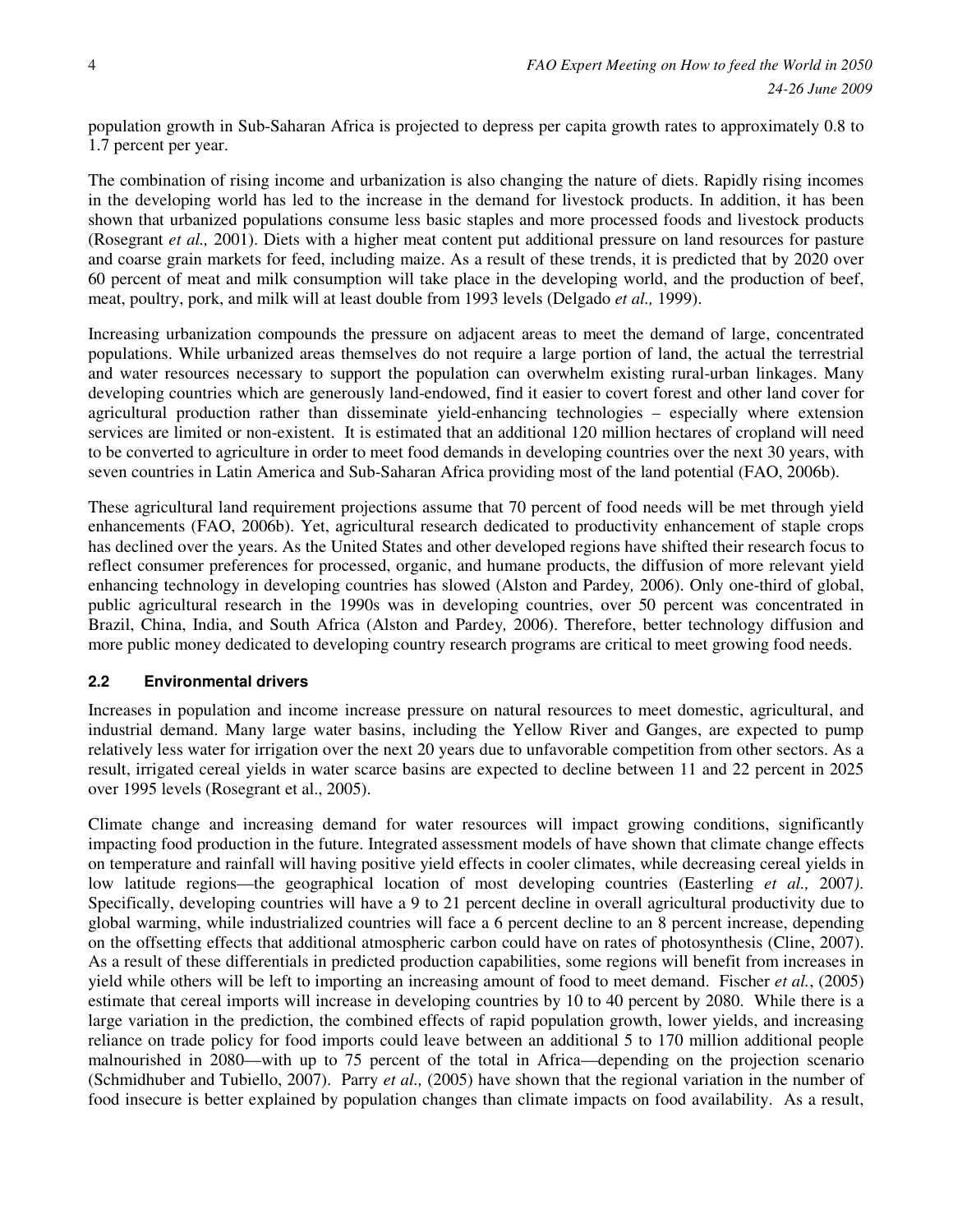population growth in Sub-Saharan Africa is projected to depress per capita growth rates to approximately 0.8 to 1.7 percent per year.

The combination of rising income and urbanization is also changing the nature of diets. Rapidly rising incomes in the developing world has led to the increase in the demand for livestock products. In addition, it has been shown that urbanized populations consume less basic staples and more processed foods and livestock products (Rosegrant *et al.,* 2001). Diets with a higher meat content put additional pressure on land resources for pasture and coarse grain markets for feed, including maize. As a result of these trends, it is predicted that by 2020 over 60 percent of meat and milk consumption will take place in the developing world, and the production of beef, meat, poultry, pork, and milk will at least double from 1993 levels (Delgado *et al.,* 1999).

Increasing urbanization compounds the pressure on adjacent areas to meet the demand of large, concentrated populations. While urbanized areas themselves do not require a large portion of land, the actual the terrestrial and water resources necessary to support the population can overwhelm existing rural-urban linkages. Many developing countries which are generously land-endowed, find it easier to covert forest and other land cover for agricultural production rather than disseminate yield-enhancing technologies – especially where extension services are limited or non-existent. It is estimated that an additional 120 million hectares of cropland will need to be converted to agriculture in order to meet food demands in developing countries over the next 30 years, with seven countries in Latin America and Sub-Saharan Africa providing most of the land potential (FAO, 2006b).

These agricultural land requirement projections assume that 70 percent of food needs will be met through yield enhancements (FAO, 2006b). Yet, agricultural research dedicated to productivity enhancement of staple crops has declined over the years. As the United States and other developed regions have shifted their research focus to reflect consumer preferences for processed, organic, and humane products, the diffusion of more relevant yield enhancing technology in developing countries has slowed (Alston and Pardey*,* 2006). Only one-third of global, public agricultural research in the 1990s was in developing countries, over 50 percent was concentrated in Brazil, China, India, and South Africa (Alston and Pardey*,* 2006). Therefore, better technology diffusion and more public money dedicated to developing country research programs are critical to meet growing food needs.

#### **2.2 Environmental drivers**

Increases in population and income increase pressure on natural resources to meet domestic, agricultural, and industrial demand. Many large water basins, including the Yellow River and Ganges, are expected to pump relatively less water for irrigation over the next 20 years due to unfavorable competition from other sectors. As a result, irrigated cereal yields in water scarce basins are expected to decline between 11 and 22 percent in 2025 over 1995 levels (Rosegrant et al., 2005).

Climate change and increasing demand for water resources will impact growing conditions, significantly impacting food production in the future. Integrated assessment models of have shown that climate change effects on temperature and rainfall will having positive yield effects in cooler climates, while decreasing cereal yields in low latitude regions—the geographical location of most developing countries (Easterling *et al.,* 2007*)*. Specifically, developing countries will have a 9 to 21 percent decline in overall agricultural productivity due to global warming, while industrialized countries will face a 6 percent decline to an 8 percent increase, depending on the offsetting effects that additional atmospheric carbon could have on rates of photosynthesis (Cline, 2007). As a result of these differentials in predicted production capabilities, some regions will benefit from increases in yield while others will be left to importing an increasing amount of food to meet demand. Fischer *et al.*, (2005) estimate that cereal imports will increase in developing countries by 10 to 40 percent by 2080. While there is a large variation in the prediction, the combined effects of rapid population growth, lower yields, and increasing reliance on trade policy for food imports could leave between an additional 5 to 170 million additional people malnourished in 2080—with up to 75 percent of the total in Africa—depending on the projection scenario (Schmidhuber and Tubiello, 2007). Parry *et al.,* (2005) have shown that the regional variation in the number of food insecure is better explained by population changes than climate impacts on food availability. As a result,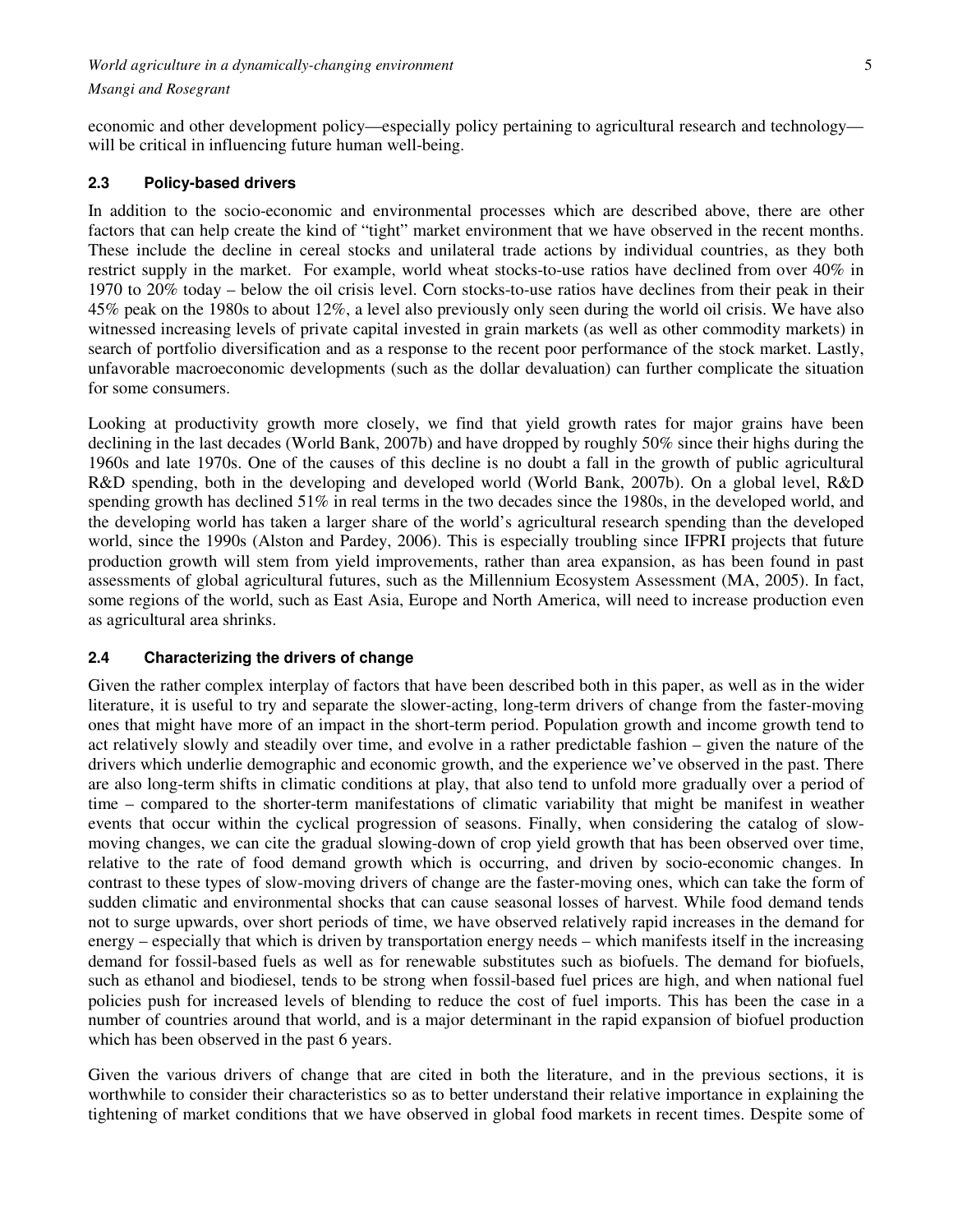#### *Msangi and Rosegrant*

economic and other development policy—especially policy pertaining to agricultural research and technology will be critical in influencing future human well-being.

#### **2.3 Policy-based drivers**

In addition to the socio-economic and environmental processes which are described above, there are other factors that can help create the kind of "tight" market environment that we have observed in the recent months. These include the decline in cereal stocks and unilateral trade actions by individual countries, as they both restrict supply in the market. For example, world wheat stocks-to-use ratios have declined from over 40% in 1970 to 20% today – below the oil crisis level. Corn stocks-to-use ratios have declines from their peak in their 45% peak on the 1980s to about 12%, a level also previously only seen during the world oil crisis. We have also witnessed increasing levels of private capital invested in grain markets (as well as other commodity markets) in search of portfolio diversification and as a response to the recent poor performance of the stock market. Lastly, unfavorable macroeconomic developments (such as the dollar devaluation) can further complicate the situation for some consumers.

Looking at productivity growth more closely, we find that yield growth rates for major grains have been declining in the last decades (World Bank, 2007b) and have dropped by roughly 50% since their highs during the 1960s and late 1970s. One of the causes of this decline is no doubt a fall in the growth of public agricultural R&D spending, both in the developing and developed world (World Bank, 2007b). On a global level, R&D spending growth has declined 51% in real terms in the two decades since the 1980s, in the developed world, and the developing world has taken a larger share of the world's agricultural research spending than the developed world, since the 1990s (Alston and Pardey, 2006). This is especially troubling since IFPRI projects that future production growth will stem from yield improvements, rather than area expansion, as has been found in past assessments of global agricultural futures, such as the Millennium Ecosystem Assessment (MA, 2005). In fact, some regions of the world, such as East Asia, Europe and North America, will need to increase production even as agricultural area shrinks.

#### **2.4 Characterizing the drivers of change**

Given the rather complex interplay of factors that have been described both in this paper, as well as in the wider literature, it is useful to try and separate the slower-acting, long-term drivers of change from the faster-moving ones that might have more of an impact in the short-term period. Population growth and income growth tend to act relatively slowly and steadily over time, and evolve in a rather predictable fashion – given the nature of the drivers which underlie demographic and economic growth, and the experience we've observed in the past. There are also long-term shifts in climatic conditions at play, that also tend to unfold more gradually over a period of time – compared to the shorter-term manifestations of climatic variability that might be manifest in weather events that occur within the cyclical progression of seasons. Finally, when considering the catalog of slowmoving changes, we can cite the gradual slowing-down of crop yield growth that has been observed over time, relative to the rate of food demand growth which is occurring, and driven by socio-economic changes. In contrast to these types of slow-moving drivers of change are the faster-moving ones, which can take the form of sudden climatic and environmental shocks that can cause seasonal losses of harvest. While food demand tends not to surge upwards, over short periods of time, we have observed relatively rapid increases in the demand for energy – especially that which is driven by transportation energy needs – which manifests itself in the increasing demand for fossil-based fuels as well as for renewable substitutes such as biofuels. The demand for biofuels, such as ethanol and biodiesel, tends to be strong when fossil-based fuel prices are high, and when national fuel policies push for increased levels of blending to reduce the cost of fuel imports. This has been the case in a number of countries around that world, and is a major determinant in the rapid expansion of biofuel production which has been observed in the past 6 years.

Given the various drivers of change that are cited in both the literature, and in the previous sections, it is worthwhile to consider their characteristics so as to better understand their relative importance in explaining the tightening of market conditions that we have observed in global food markets in recent times. Despite some of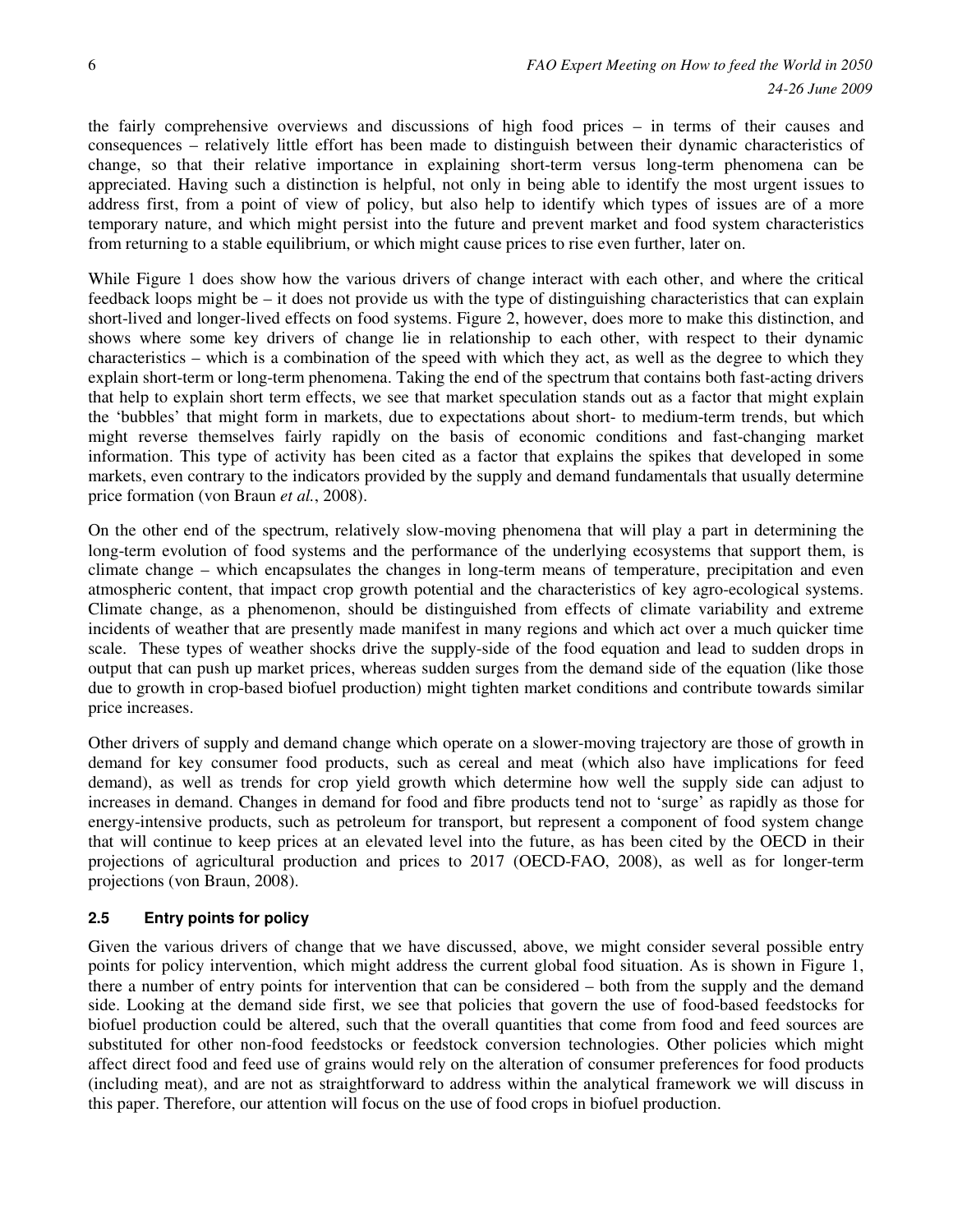the fairly comprehensive overviews and discussions of high food prices – in terms of their causes and consequences – relatively little effort has been made to distinguish between their dynamic characteristics of change, so that their relative importance in explaining short-term versus long-term phenomena can be appreciated. Having such a distinction is helpful, not only in being able to identify the most urgent issues to address first, from a point of view of policy, but also help to identify which types of issues are of a more temporary nature, and which might persist into the future and prevent market and food system characteristics from returning to a stable equilibrium, or which might cause prices to rise even further, later on.

While Figure 1 does show how the various drivers of change interact with each other, and where the critical feedback loops might be – it does not provide us with the type of distinguishing characteristics that can explain short-lived and longer-lived effects on food systems. Figure 2, however, does more to make this distinction, and shows where some key drivers of change lie in relationship to each other, with respect to their dynamic characteristics – which is a combination of the speed with which they act, as well as the degree to which they explain short-term or long-term phenomena. Taking the end of the spectrum that contains both fast-acting drivers that help to explain short term effects, we see that market speculation stands out as a factor that might explain the 'bubbles' that might form in markets, due to expectations about short- to medium-term trends, but which might reverse themselves fairly rapidly on the basis of economic conditions and fast-changing market information. This type of activity has been cited as a factor that explains the spikes that developed in some markets, even contrary to the indicators provided by the supply and demand fundamentals that usually determine price formation (von Braun *et al.*, 2008).

On the other end of the spectrum, relatively slow-moving phenomena that will play a part in determining the long-term evolution of food systems and the performance of the underlying ecosystems that support them, is climate change – which encapsulates the changes in long-term means of temperature, precipitation and even atmospheric content, that impact crop growth potential and the characteristics of key agro-ecological systems. Climate change, as a phenomenon, should be distinguished from effects of climate variability and extreme incidents of weather that are presently made manifest in many regions and which act over a much quicker time scale. These types of weather shocks drive the supply-side of the food equation and lead to sudden drops in output that can push up market prices, whereas sudden surges from the demand side of the equation (like those due to growth in crop-based biofuel production) might tighten market conditions and contribute towards similar price increases.

Other drivers of supply and demand change which operate on a slower-moving trajectory are those of growth in demand for key consumer food products, such as cereal and meat (which also have implications for feed demand), as well as trends for crop yield growth which determine how well the supply side can adjust to increases in demand. Changes in demand for food and fibre products tend not to 'surge' as rapidly as those for energy-intensive products, such as petroleum for transport, but represent a component of food system change that will continue to keep prices at an elevated level into the future, as has been cited by the OECD in their projections of agricultural production and prices to 2017 (OECD-FAO, 2008), as well as for longer-term projections (von Braun, 2008).

# **2.5 Entry points for policy**

Given the various drivers of change that we have discussed, above, we might consider several possible entry points for policy intervention, which might address the current global food situation. As is shown in Figure 1, there a number of entry points for intervention that can be considered – both from the supply and the demand side. Looking at the demand side first, we see that policies that govern the use of food-based feedstocks for biofuel production could be altered, such that the overall quantities that come from food and feed sources are substituted for other non-food feedstocks or feedstock conversion technologies. Other policies which might affect direct food and feed use of grains would rely on the alteration of consumer preferences for food products (including meat), and are not as straightforward to address within the analytical framework we will discuss in this paper. Therefore, our attention will focus on the use of food crops in biofuel production.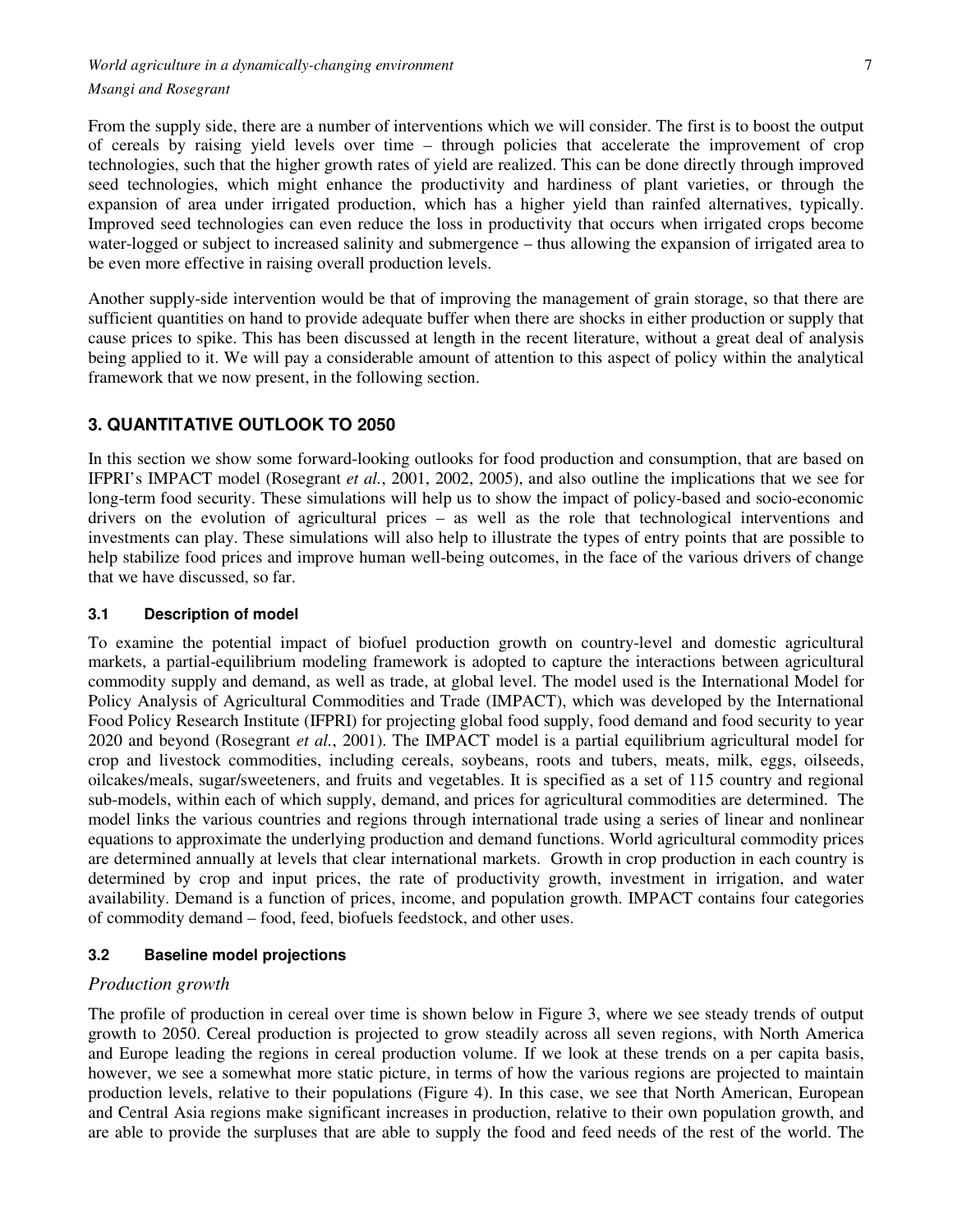From the supply side, there are a number of interventions which we will consider. The first is to boost the output of cereals by raising yield levels over time – through policies that accelerate the improvement of crop technologies, such that the higher growth rates of yield are realized. This can be done directly through improved seed technologies, which might enhance the productivity and hardiness of plant varieties, or through the expansion of area under irrigated production, which has a higher yield than rainfed alternatives, typically. Improved seed technologies can even reduce the loss in productivity that occurs when irrigated crops become water-logged or subject to increased salinity and submergence – thus allowing the expansion of irrigated area to be even more effective in raising overall production levels.

Another supply-side intervention would be that of improving the management of grain storage, so that there are sufficient quantities on hand to provide adequate buffer when there are shocks in either production or supply that cause prices to spike. This has been discussed at length in the recent literature, without a great deal of analysis being applied to it. We will pay a considerable amount of attention to this aspect of policy within the analytical framework that we now present, in the following section.

# **3. QUANTITATIVE OUTLOOK TO 2050**

In this section we show some forward-looking outlooks for food production and consumption, that are based on IFPRI's IMPACT model (Rosegrant *et al.*, 2001, 2002, 2005), and also outline the implications that we see for long-term food security. These simulations will help us to show the impact of policy-based and socio-economic drivers on the evolution of agricultural prices – as well as the role that technological interventions and investments can play. These simulations will also help to illustrate the types of entry points that are possible to help stabilize food prices and improve human well-being outcomes, in the face of the various drivers of change that we have discussed, so far.

## **3.1 Description of model**

To examine the potential impact of biofuel production growth on country-level and domestic agricultural markets, a partial-equilibrium modeling framework is adopted to capture the interactions between agricultural commodity supply and demand, as well as trade, at global level. The model used is the International Model for Policy Analysis of Agricultural Commodities and Trade (IMPACT), which was developed by the International Food Policy Research Institute (IFPRI) for projecting global food supply, food demand and food security to year 2020 and beyond (Rosegrant *et al.*, 2001). The IMPACT model is a partial equilibrium agricultural model for crop and livestock commodities, including cereals, soybeans, roots and tubers, meats, milk, eggs, oilseeds, oilcakes/meals, sugar/sweeteners, and fruits and vegetables. It is specified as a set of 115 country and regional sub-models, within each of which supply, demand, and prices for agricultural commodities are determined. The model links the various countries and regions through international trade using a series of linear and nonlinear equations to approximate the underlying production and demand functions. World agricultural commodity prices are determined annually at levels that clear international markets. Growth in crop production in each country is determined by crop and input prices, the rate of productivity growth, investment in irrigation, and water availability. Demand is a function of prices, income, and population growth. IMPACT contains four categories of commodity demand – food, feed, biofuels feedstock, and other uses.

# **3.2 Baseline model projections**

# *Production growth*

The profile of production in cereal over time is shown below in Figure 3, where we see steady trends of output growth to 2050. Cereal production is projected to grow steadily across all seven regions, with North America and Europe leading the regions in cereal production volume. If we look at these trends on a per capita basis, however, we see a somewhat more static picture, in terms of how the various regions are projected to maintain production levels, relative to their populations (Figure 4). In this case, we see that North American, European and Central Asia regions make significant increases in production, relative to their own population growth, and are able to provide the surpluses that are able to supply the food and feed needs of the rest of the world. The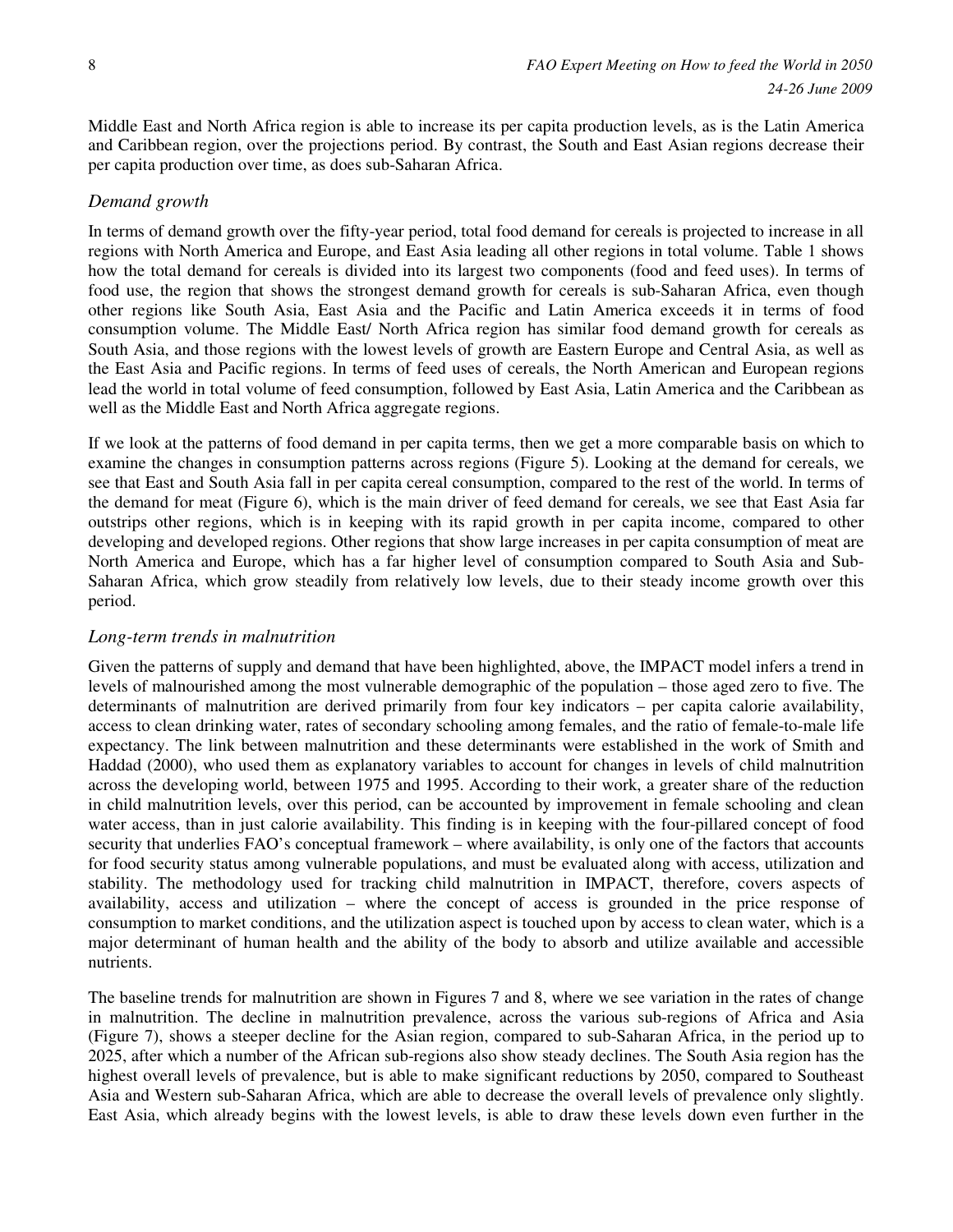Middle East and North Africa region is able to increase its per capita production levels, as is the Latin America and Caribbean region, over the projections period. By contrast, the South and East Asian regions decrease their per capita production over time, as does sub-Saharan Africa.

#### *Demand growth*

In terms of demand growth over the fifty-year period, total food demand for cereals is projected to increase in all regions with North America and Europe, and East Asia leading all other regions in total volume. Table 1 shows how the total demand for cereals is divided into its largest two components (food and feed uses). In terms of food use, the region that shows the strongest demand growth for cereals is sub-Saharan Africa, even though other regions like South Asia, East Asia and the Pacific and Latin America exceeds it in terms of food consumption volume. The Middle East/ North Africa region has similar food demand growth for cereals as South Asia, and those regions with the lowest levels of growth are Eastern Europe and Central Asia, as well as the East Asia and Pacific regions. In terms of feed uses of cereals, the North American and European regions lead the world in total volume of feed consumption, followed by East Asia, Latin America and the Caribbean as well as the Middle East and North Africa aggregate regions.

If we look at the patterns of food demand in per capita terms, then we get a more comparable basis on which to examine the changes in consumption patterns across regions (Figure 5). Looking at the demand for cereals, we see that East and South Asia fall in per capita cereal consumption, compared to the rest of the world. In terms of the demand for meat (Figure 6), which is the main driver of feed demand for cereals, we see that East Asia far outstrips other regions, which is in keeping with its rapid growth in per capita income, compared to other developing and developed regions. Other regions that show large increases in per capita consumption of meat are North America and Europe, which has a far higher level of consumption compared to South Asia and Sub-Saharan Africa, which grow steadily from relatively low levels, due to their steady income growth over this period.

### *Long-term trends in malnutrition*

Given the patterns of supply and demand that have been highlighted, above, the IMPACT model infers a trend in levels of malnourished among the most vulnerable demographic of the population – those aged zero to five. The determinants of malnutrition are derived primarily from four key indicators – per capita calorie availability, access to clean drinking water, rates of secondary schooling among females, and the ratio of female-to-male life expectancy. The link between malnutrition and these determinants were established in the work of Smith and Haddad (2000), who used them as explanatory variables to account for changes in levels of child malnutrition across the developing world, between 1975 and 1995. According to their work, a greater share of the reduction in child malnutrition levels, over this period, can be accounted by improvement in female schooling and clean water access, than in just calorie availability. This finding is in keeping with the four-pillared concept of food security that underlies FAO's conceptual framework – where availability, is only one of the factors that accounts for food security status among vulnerable populations, and must be evaluated along with access, utilization and stability. The methodology used for tracking child malnutrition in IMPACT, therefore, covers aspects of availability, access and utilization – where the concept of access is grounded in the price response of consumption to market conditions, and the utilization aspect is touched upon by access to clean water, which is a major determinant of human health and the ability of the body to absorb and utilize available and accessible nutrients.

The baseline trends for malnutrition are shown in Figures 7 and 8, where we see variation in the rates of change in malnutrition. The decline in malnutrition prevalence, across the various sub-regions of Africa and Asia (Figure 7), shows a steeper decline for the Asian region, compared to sub-Saharan Africa, in the period up to 2025, after which a number of the African sub-regions also show steady declines. The South Asia region has the highest overall levels of prevalence, but is able to make significant reductions by 2050, compared to Southeast Asia and Western sub-Saharan Africa, which are able to decrease the overall levels of prevalence only slightly. East Asia, which already begins with the lowest levels, is able to draw these levels down even further in the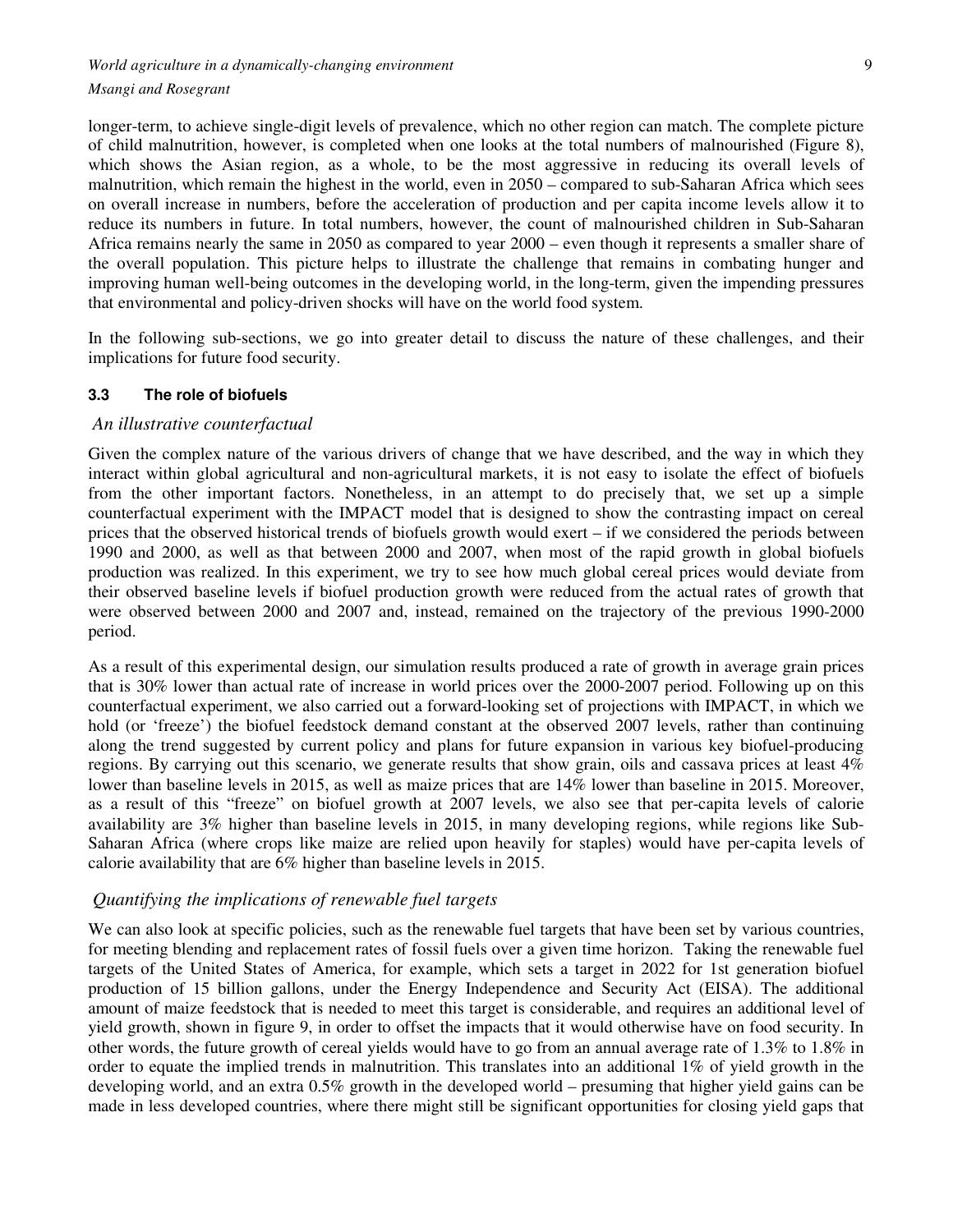longer-term, to achieve single-digit levels of prevalence, which no other region can match. The complete picture of child malnutrition, however, is completed when one looks at the total numbers of malnourished (Figure 8), which shows the Asian region, as a whole, to be the most aggressive in reducing its overall levels of malnutrition, which remain the highest in the world, even in 2050 – compared to sub-Saharan Africa which sees on overall increase in numbers, before the acceleration of production and per capita income levels allow it to reduce its numbers in future. In total numbers, however, the count of malnourished children in Sub-Saharan Africa remains nearly the same in 2050 as compared to year 2000 – even though it represents a smaller share of the overall population. This picture helps to illustrate the challenge that remains in combating hunger and improving human well-being outcomes in the developing world, in the long-term, given the impending pressures that environmental and policy-driven shocks will have on the world food system.

In the following sub-sections, we go into greater detail to discuss the nature of these challenges, and their implications for future food security.

#### **3.3 The role of biofuels**

#### *An illustrative counterfactual*

Given the complex nature of the various drivers of change that we have described, and the way in which they interact within global agricultural and non-agricultural markets, it is not easy to isolate the effect of biofuels from the other important factors. Nonetheless, in an attempt to do precisely that, we set up a simple counterfactual experiment with the IMPACT model that is designed to show the contrasting impact on cereal prices that the observed historical trends of biofuels growth would exert – if we considered the periods between 1990 and 2000, as well as that between 2000 and 2007, when most of the rapid growth in global biofuels production was realized. In this experiment, we try to see how much global cereal prices would deviate from their observed baseline levels if biofuel production growth were reduced from the actual rates of growth that were observed between 2000 and 2007 and, instead, remained on the trajectory of the previous 1990-2000 period.

As a result of this experimental design, our simulation results produced a rate of growth in average grain prices that is 30% lower than actual rate of increase in world prices over the 2000-2007 period. Following up on this counterfactual experiment, we also carried out a forward-looking set of projections with IMPACT, in which we hold (or 'freeze') the biofuel feedstock demand constant at the observed 2007 levels, rather than continuing along the trend suggested by current policy and plans for future expansion in various key biofuel-producing regions. By carrying out this scenario, we generate results that show grain, oils and cassava prices at least 4% lower than baseline levels in 2015, as well as maize prices that are 14% lower than baseline in 2015. Moreover, as a result of this "freeze" on biofuel growth at 2007 levels, we also see that per-capita levels of calorie availability are 3% higher than baseline levels in 2015, in many developing regions, while regions like Sub-Saharan Africa (where crops like maize are relied upon heavily for staples) would have per-capita levels of calorie availability that are 6% higher than baseline levels in 2015.

## *Quantifying the implications of renewable fuel targets*

We can also look at specific policies, such as the renewable fuel targets that have been set by various countries, for meeting blending and replacement rates of fossil fuels over a given time horizon. Taking the renewable fuel targets of the United States of America, for example, which sets a target in 2022 for 1st generation biofuel production of 15 billion gallons, under the Energy Independence and Security Act (EISA). The additional amount of maize feedstock that is needed to meet this target is considerable, and requires an additional level of yield growth, shown in figure 9, in order to offset the impacts that it would otherwise have on food security. In other words, the future growth of cereal yields would have to go from an annual average rate of 1.3% to 1.8% in order to equate the implied trends in malnutrition. This translates into an additional 1% of yield growth in the developing world, and an extra 0.5% growth in the developed world – presuming that higher yield gains can be made in less developed countries, where there might still be significant opportunities for closing yield gaps that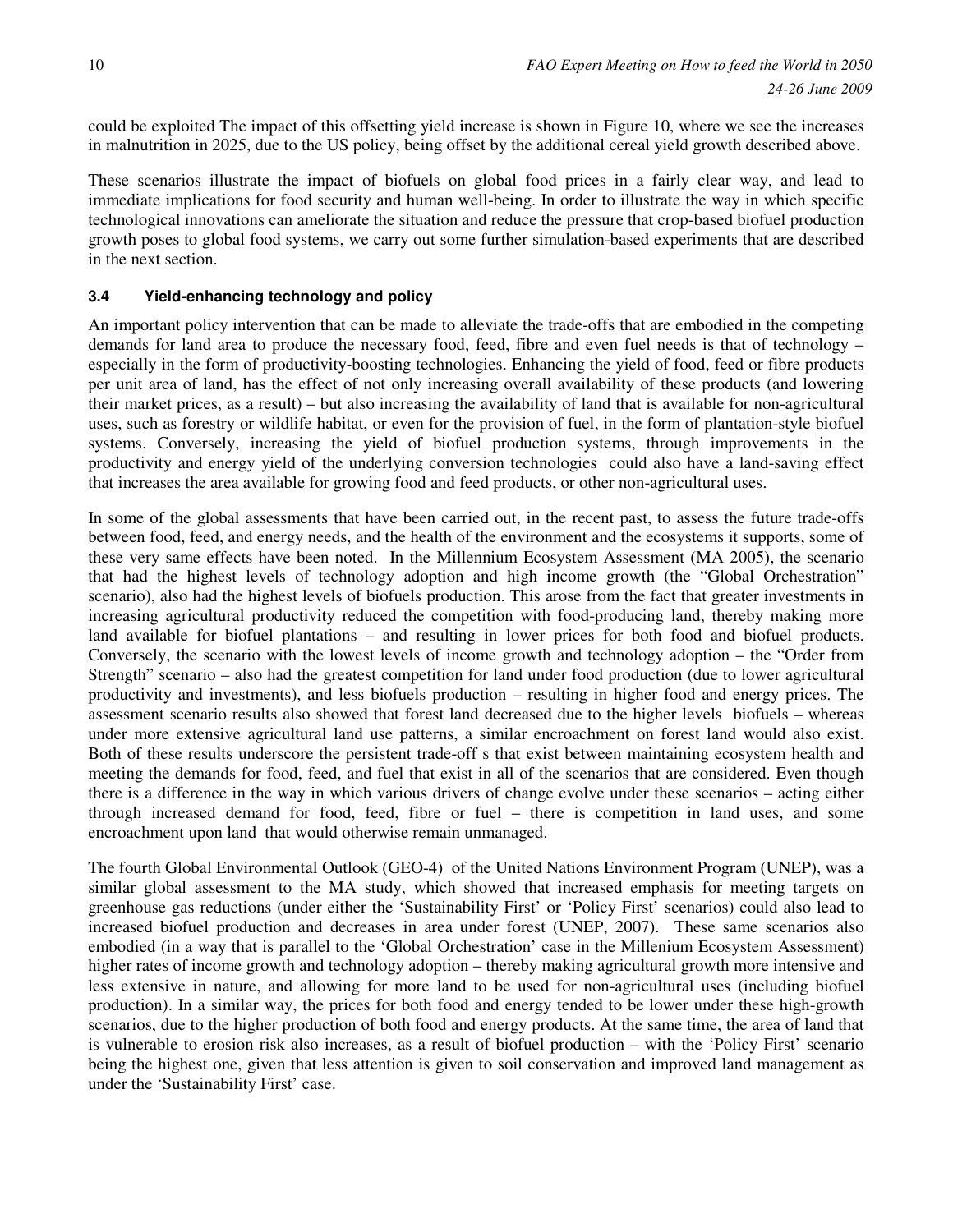could be exploited The impact of this offsetting yield increase is shown in Figure 10, where we see the increases in malnutrition in 2025, due to the US policy, being offset by the additional cereal yield growth described above.

These scenarios illustrate the impact of biofuels on global food prices in a fairly clear way, and lead to immediate implications for food security and human well-being. In order to illustrate the way in which specific technological innovations can ameliorate the situation and reduce the pressure that crop-based biofuel production growth poses to global food systems, we carry out some further simulation-based experiments that are described in the next section.

# **3.4 Yield-enhancing technology and policy**

An important policy intervention that can be made to alleviate the trade-offs that are embodied in the competing demands for land area to produce the necessary food, feed, fibre and even fuel needs is that of technology – especially in the form of productivity-boosting technologies. Enhancing the yield of food, feed or fibre products per unit area of land, has the effect of not only increasing overall availability of these products (and lowering their market prices, as a result) – but also increasing the availability of land that is available for non-agricultural uses, such as forestry or wildlife habitat, or even for the provision of fuel, in the form of plantation-style biofuel systems. Conversely, increasing the yield of biofuel production systems, through improvements in the productivity and energy yield of the underlying conversion technologies could also have a land-saving effect that increases the area available for growing food and feed products, or other non-agricultural uses.

In some of the global assessments that have been carried out, in the recent past, to assess the future trade-offs between food, feed, and energy needs, and the health of the environment and the ecosystems it supports, some of these very same effects have been noted. In the Millennium Ecosystem Assessment (MA 2005), the scenario that had the highest levels of technology adoption and high income growth (the "Global Orchestration" scenario), also had the highest levels of biofuels production. This arose from the fact that greater investments in increasing agricultural productivity reduced the competition with food-producing land, thereby making more land available for biofuel plantations – and resulting in lower prices for both food and biofuel products. Conversely, the scenario with the lowest levels of income growth and technology adoption – the "Order from Strength" scenario – also had the greatest competition for land under food production (due to lower agricultural productivity and investments), and less biofuels production – resulting in higher food and energy prices. The assessment scenario results also showed that forest land decreased due to the higher levels biofuels – whereas under more extensive agricultural land use patterns, a similar encroachment on forest land would also exist. Both of these results underscore the persistent trade-off s that exist between maintaining ecosystem health and meeting the demands for food, feed, and fuel that exist in all of the scenarios that are considered. Even though there is a difference in the way in which various drivers of change evolve under these scenarios – acting either through increased demand for food, feed, fibre or fuel – there is competition in land uses, and some encroachment upon land that would otherwise remain unmanaged.

The fourth Global Environmental Outlook (GEO-4) of the United Nations Environment Program (UNEP), was a similar global assessment to the MA study, which showed that increased emphasis for meeting targets on greenhouse gas reductions (under either the 'Sustainability First' or 'Policy First' scenarios) could also lead to increased biofuel production and decreases in area under forest (UNEP, 2007). These same scenarios also embodied (in a way that is parallel to the 'Global Orchestration' case in the Millenium Ecosystem Assessment) higher rates of income growth and technology adoption – thereby making agricultural growth more intensive and less extensive in nature, and allowing for more land to be used for non-agricultural uses (including biofuel production). In a similar way, the prices for both food and energy tended to be lower under these high-growth scenarios, due to the higher production of both food and energy products. At the same time, the area of land that is vulnerable to erosion risk also increases, as a result of biofuel production – with the 'Policy First' scenario being the highest one, given that less attention is given to soil conservation and improved land management as under the 'Sustainability First' case.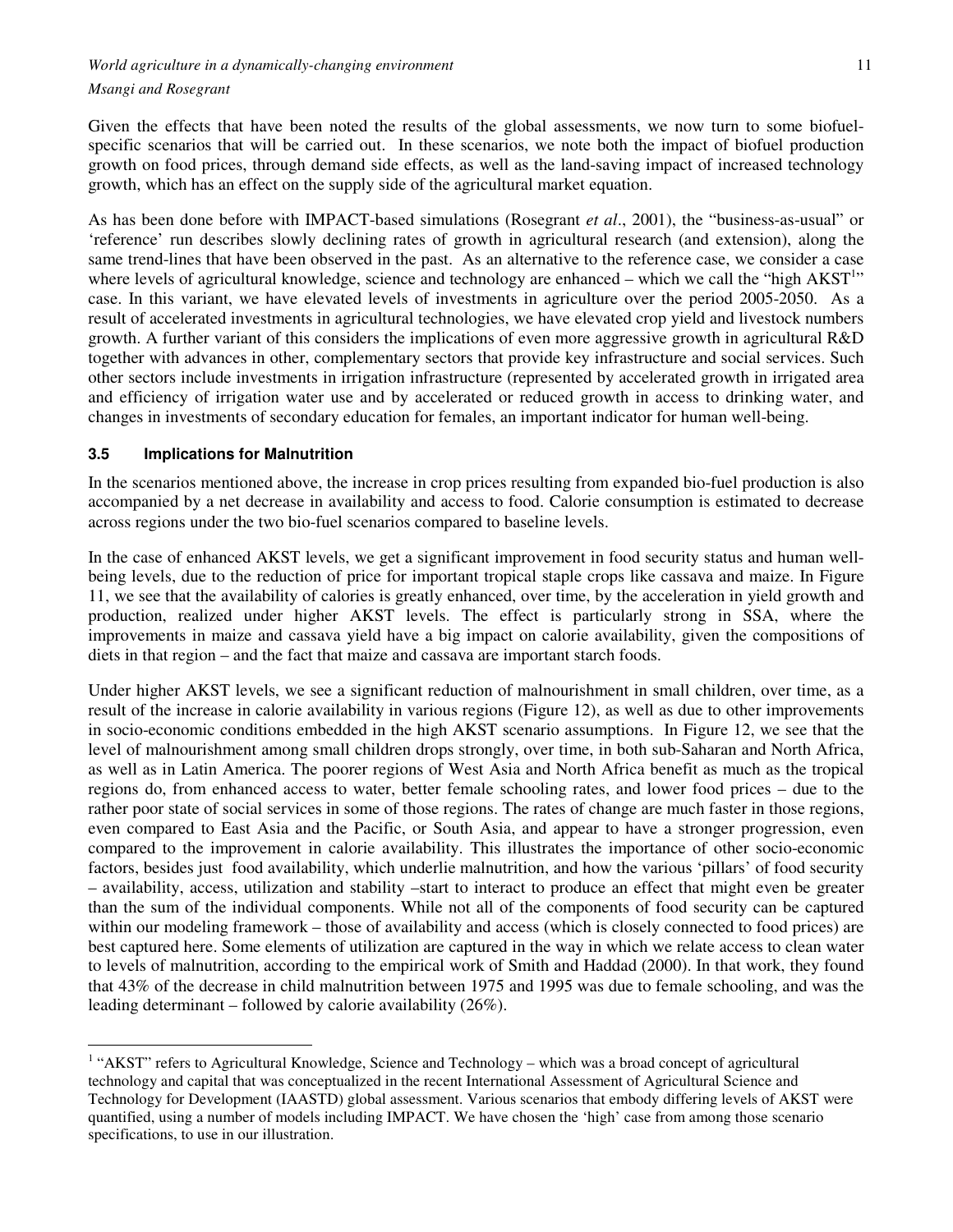Given the effects that have been noted the results of the global assessments, we now turn to some biofuelspecific scenarios that will be carried out. In these scenarios, we note both the impact of biofuel production growth on food prices, through demand side effects, as well as the land-saving impact of increased technology growth, which has an effect on the supply side of the agricultural market equation.

As has been done before with IMPACT-based simulations (Rosegrant *et al*., 2001), the "business-as-usual" or 'reference' run describes slowly declining rates of growth in agricultural research (and extension), along the same trend-lines that have been observed in the past. As an alternative to the reference case, we consider a case where levels of agricultural knowledge, science and technology are enhanced  $-$  which we call the "high  $AKST<sup>1</sup>$ " case. In this variant, we have elevated levels of investments in agriculture over the period 2005-2050. As a result of accelerated investments in agricultural technologies, we have elevated crop yield and livestock numbers growth. A further variant of this considers the implications of even more aggressive growth in agricultural R&D together with advances in other, complementary sectors that provide key infrastructure and social services. Such other sectors include investments in irrigation infrastructure (represented by accelerated growth in irrigated area and efficiency of irrigation water use and by accelerated or reduced growth in access to drinking water, and changes in investments of secondary education for females, an important indicator for human well-being.

## **3.5 Implications for Malnutrition**

 $\overline{a}$ 

In the scenarios mentioned above, the increase in crop prices resulting from expanded bio-fuel production is also accompanied by a net decrease in availability and access to food. Calorie consumption is estimated to decrease across regions under the two bio-fuel scenarios compared to baseline levels.

In the case of enhanced AKST levels, we get a significant improvement in food security status and human wellbeing levels, due to the reduction of price for important tropical staple crops like cassava and maize. In Figure 11, we see that the availability of calories is greatly enhanced, over time, by the acceleration in yield growth and production, realized under higher AKST levels. The effect is particularly strong in SSA, where the improvements in maize and cassava yield have a big impact on calorie availability, given the compositions of diets in that region – and the fact that maize and cassava are important starch foods.

Under higher AKST levels, we see a significant reduction of malnourishment in small children, over time, as a result of the increase in calorie availability in various regions (Figure 12), as well as due to other improvements in socio-economic conditions embedded in the high AKST scenario assumptions. In Figure 12, we see that the level of malnourishment among small children drops strongly, over time, in both sub-Saharan and North Africa, as well as in Latin America. The poorer regions of West Asia and North Africa benefit as much as the tropical regions do, from enhanced access to water, better female schooling rates, and lower food prices – due to the rather poor state of social services in some of those regions. The rates of change are much faster in those regions, even compared to East Asia and the Pacific, or South Asia, and appear to have a stronger progression, even compared to the improvement in calorie availability. This illustrates the importance of other socio-economic factors, besides just food availability, which underlie malnutrition, and how the various 'pillars' of food security – availability, access, utilization and stability –start to interact to produce an effect that might even be greater than the sum of the individual components. While not all of the components of food security can be captured within our modeling framework – those of availability and access (which is closely connected to food prices) are best captured here. Some elements of utilization are captured in the way in which we relate access to clean water to levels of malnutrition, according to the empirical work of Smith and Haddad (2000). In that work, they found that 43% of the decrease in child malnutrition between 1975 and 1995 was due to female schooling, and was the leading determinant – followed by calorie availability (26%).

<sup>&</sup>lt;sup>1</sup> "AKST" refers to Agricultural Knowledge, Science and Technology – which was a broad concept of agricultural technology and capital that was conceptualized in the recent International Assessment of Agricultural Science and Technology for Development (IAASTD) global assessment. Various scenarios that embody differing levels of AKST were quantified, using a number of models including IMPACT. We have chosen the 'high' case from among those scenario specifications, to use in our illustration.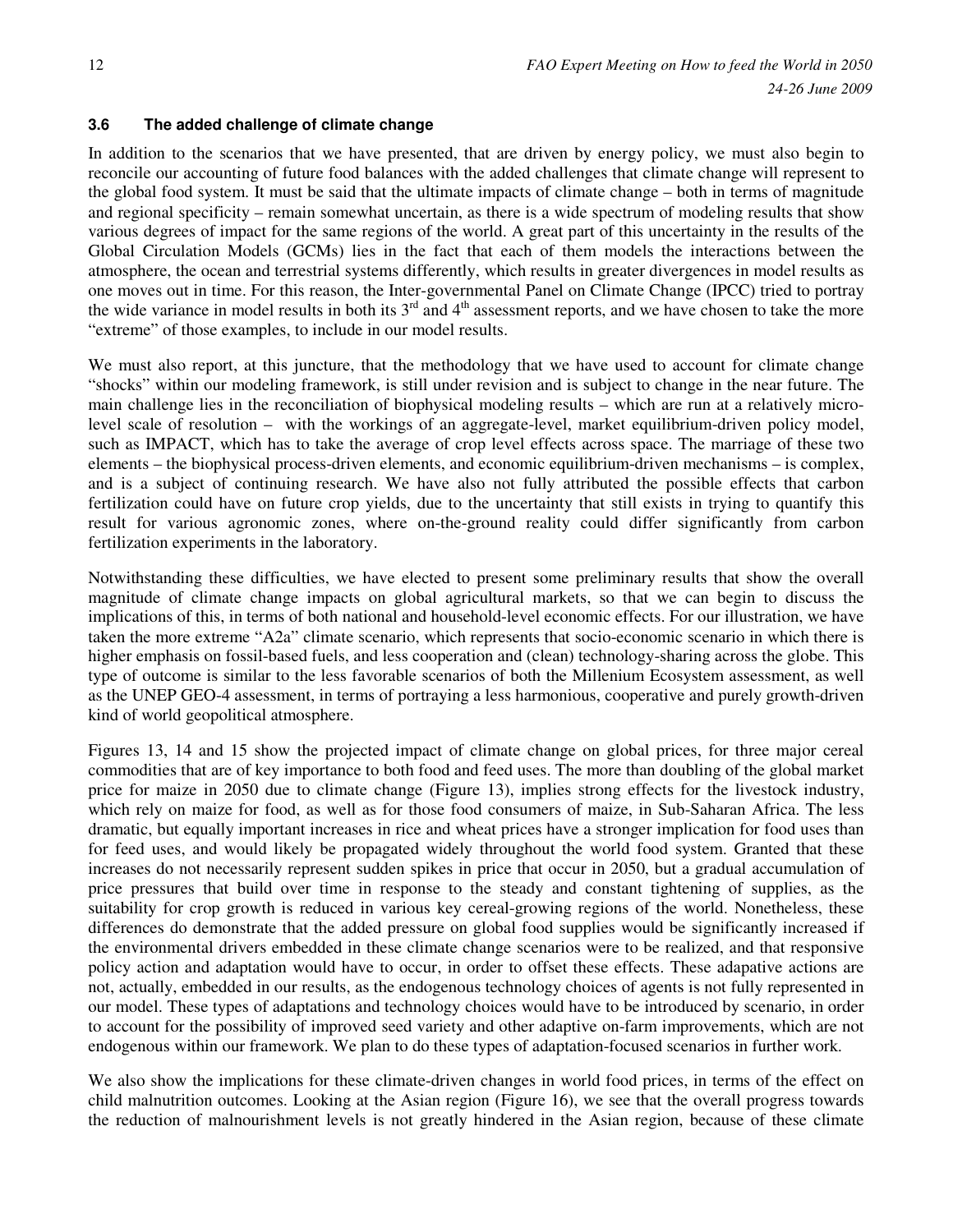# **3.6 The added challenge of climate change**

In addition to the scenarios that we have presented, that are driven by energy policy, we must also begin to reconcile our accounting of future food balances with the added challenges that climate change will represent to the global food system. It must be said that the ultimate impacts of climate change – both in terms of magnitude and regional specificity – remain somewhat uncertain, as there is a wide spectrum of modeling results that show various degrees of impact for the same regions of the world. A great part of this uncertainty in the results of the Global Circulation Models (GCMs) lies in the fact that each of them models the interactions between the atmosphere, the ocean and terrestrial systems differently, which results in greater divergences in model results as one moves out in time. For this reason, the Inter-governmental Panel on Climate Change (IPCC) tried to portray the wide variance in model results in both its  $3<sup>rd</sup>$  and  $4<sup>th</sup>$  assessment reports, and we have chosen to take the more "extreme" of those examples, to include in our model results.

We must also report, at this juncture, that the methodology that we have used to account for climate change "shocks" within our modeling framework, is still under revision and is subject to change in the near future. The main challenge lies in the reconciliation of biophysical modeling results – which are run at a relatively microlevel scale of resolution – with the workings of an aggregate-level, market equilibrium-driven policy model, such as IMPACT, which has to take the average of crop level effects across space. The marriage of these two elements – the biophysical process-driven elements, and economic equilibrium-driven mechanisms – is complex, and is a subject of continuing research. We have also not fully attributed the possible effects that carbon fertilization could have on future crop yields, due to the uncertainty that still exists in trying to quantify this result for various agronomic zones, where on-the-ground reality could differ significantly from carbon fertilization experiments in the laboratory.

Notwithstanding these difficulties, we have elected to present some preliminary results that show the overall magnitude of climate change impacts on global agricultural markets, so that we can begin to discuss the implications of this, in terms of both national and household-level economic effects. For our illustration, we have taken the more extreme "A2a" climate scenario, which represents that socio-economic scenario in which there is higher emphasis on fossil-based fuels, and less cooperation and (clean) technology-sharing across the globe. This type of outcome is similar to the less favorable scenarios of both the Millenium Ecosystem assessment, as well as the UNEP GEO-4 assessment, in terms of portraying a less harmonious, cooperative and purely growth-driven kind of world geopolitical atmosphere.

Figures 13, 14 and 15 show the projected impact of climate change on global prices, for three major cereal commodities that are of key importance to both food and feed uses. The more than doubling of the global market price for maize in 2050 due to climate change (Figure 13), implies strong effects for the livestock industry, which rely on maize for food, as well as for those food consumers of maize, in Sub-Saharan Africa. The less dramatic, but equally important increases in rice and wheat prices have a stronger implication for food uses than for feed uses, and would likely be propagated widely throughout the world food system. Granted that these increases do not necessarily represent sudden spikes in price that occur in 2050, but a gradual accumulation of price pressures that build over time in response to the steady and constant tightening of supplies, as the suitability for crop growth is reduced in various key cereal-growing regions of the world. Nonetheless, these differences do demonstrate that the added pressure on global food supplies would be significantly increased if the environmental drivers embedded in these climate change scenarios were to be realized, and that responsive policy action and adaptation would have to occur, in order to offset these effects. These adapative actions are not, actually, embedded in our results, as the endogenous technology choices of agents is not fully represented in our model. These types of adaptations and technology choices would have to be introduced by scenario, in order to account for the possibility of improved seed variety and other adaptive on-farm improvements, which are not endogenous within our framework. We plan to do these types of adaptation-focused scenarios in further work.

We also show the implications for these climate-driven changes in world food prices, in terms of the effect on child malnutrition outcomes. Looking at the Asian region (Figure 16), we see that the overall progress towards the reduction of malnourishment levels is not greatly hindered in the Asian region, because of these climate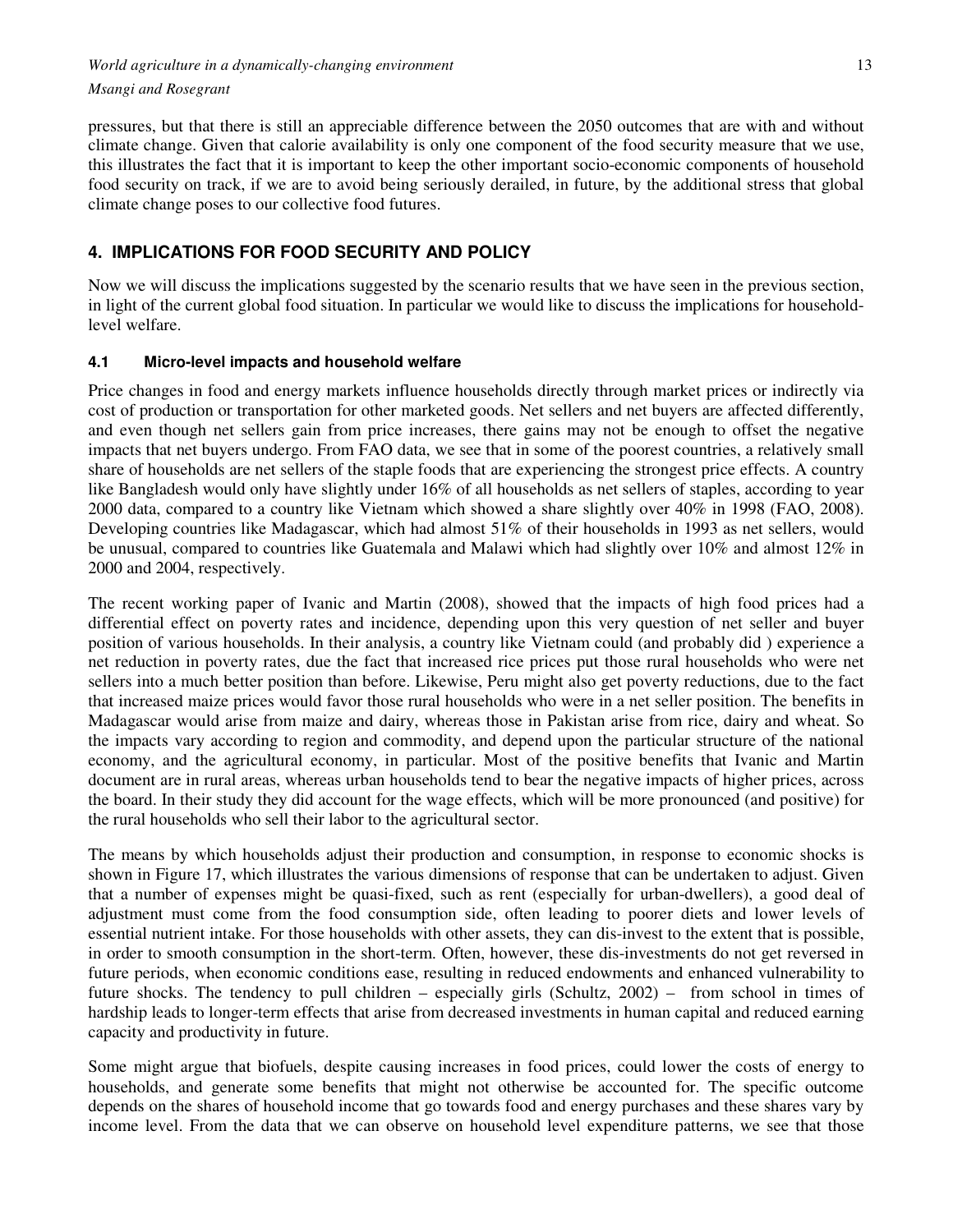pressures, but that there is still an appreciable difference between the 2050 outcomes that are with and without climate change. Given that calorie availability is only one component of the food security measure that we use, this illustrates the fact that it is important to keep the other important socio-economic components of household food security on track, if we are to avoid being seriously derailed, in future, by the additional stress that global climate change poses to our collective food futures.

# **4. IMPLICATIONS FOR FOOD SECURITY AND POLICY**

Now we will discuss the implications suggested by the scenario results that we have seen in the previous section, in light of the current global food situation. In particular we would like to discuss the implications for householdlevel welfare.

# **4.1 Micro-level impacts and household welfare**

Price changes in food and energy markets influence households directly through market prices or indirectly via cost of production or transportation for other marketed goods. Net sellers and net buyers are affected differently, and even though net sellers gain from price increases, there gains may not be enough to offset the negative impacts that net buyers undergo. From FAO data, we see that in some of the poorest countries, a relatively small share of households are net sellers of the staple foods that are experiencing the strongest price effects. A country like Bangladesh would only have slightly under 16% of all households as net sellers of staples, according to year 2000 data, compared to a country like Vietnam which showed a share slightly over 40% in 1998 (FAO, 2008). Developing countries like Madagascar, which had almost 51% of their households in 1993 as net sellers, would be unusual, compared to countries like Guatemala and Malawi which had slightly over 10% and almost 12% in 2000 and 2004, respectively.

The recent working paper of Ivanic and Martin (2008), showed that the impacts of high food prices had a differential effect on poverty rates and incidence, depending upon this very question of net seller and buyer position of various households. In their analysis, a country like Vietnam could (and probably did ) experience a net reduction in poverty rates, due the fact that increased rice prices put those rural households who were net sellers into a much better position than before. Likewise, Peru might also get poverty reductions, due to the fact that increased maize prices would favor those rural households who were in a net seller position. The benefits in Madagascar would arise from maize and dairy, whereas those in Pakistan arise from rice, dairy and wheat. So the impacts vary according to region and commodity, and depend upon the particular structure of the national economy, and the agricultural economy, in particular. Most of the positive benefits that Ivanic and Martin document are in rural areas, whereas urban households tend to bear the negative impacts of higher prices, across the board. In their study they did account for the wage effects, which will be more pronounced (and positive) for the rural households who sell their labor to the agricultural sector.

The means by which households adjust their production and consumption, in response to economic shocks is shown in Figure 17, which illustrates the various dimensions of response that can be undertaken to adjust. Given that a number of expenses might be quasi-fixed, such as rent (especially for urban-dwellers), a good deal of adjustment must come from the food consumption side, often leading to poorer diets and lower levels of essential nutrient intake. For those households with other assets, they can dis-invest to the extent that is possible, in order to smooth consumption in the short-term. Often, however, these dis-investments do not get reversed in future periods, when economic conditions ease, resulting in reduced endowments and enhanced vulnerability to future shocks. The tendency to pull children – especially girls (Schultz, 2002) – from school in times of hardship leads to longer-term effects that arise from decreased investments in human capital and reduced earning capacity and productivity in future.

Some might argue that biofuels, despite causing increases in food prices, could lower the costs of energy to households, and generate some benefits that might not otherwise be accounted for. The specific outcome depends on the shares of household income that go towards food and energy purchases and these shares vary by income level. From the data that we can observe on household level expenditure patterns, we see that those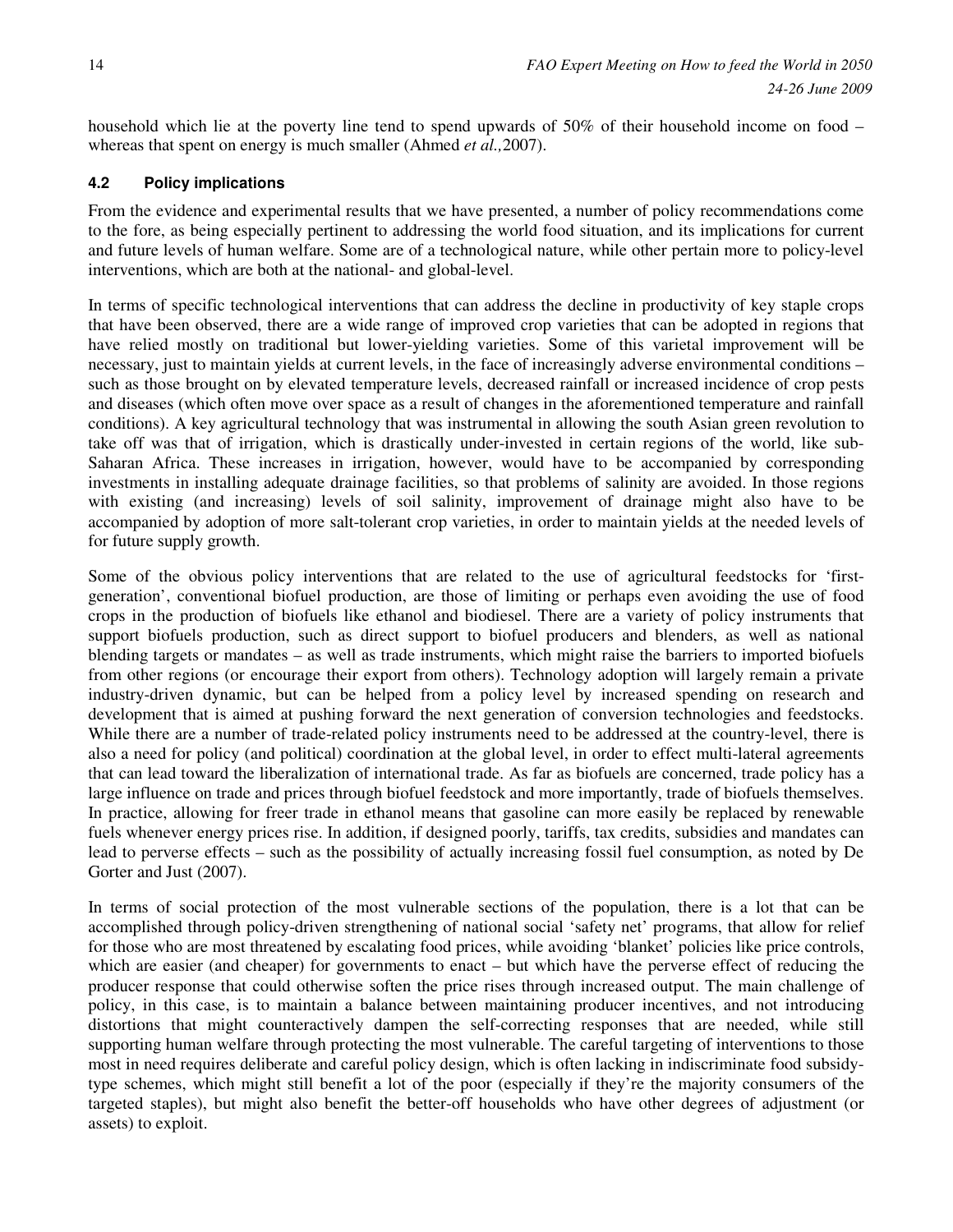household which lie at the poverty line tend to spend upwards of 50% of their household income on food – whereas that spent on energy is much smaller (Ahmed *et al.,*2007).

## **4.2 Policy implications**

From the evidence and experimental results that we have presented, a number of policy recommendations come to the fore, as being especially pertinent to addressing the world food situation, and its implications for current and future levels of human welfare. Some are of a technological nature, while other pertain more to policy-level interventions, which are both at the national- and global-level.

In terms of specific technological interventions that can address the decline in productivity of key staple crops that have been observed, there are a wide range of improved crop varieties that can be adopted in regions that have relied mostly on traditional but lower-yielding varieties. Some of this varietal improvement will be necessary, just to maintain yields at current levels, in the face of increasingly adverse environmental conditions – such as those brought on by elevated temperature levels, decreased rainfall or increased incidence of crop pests and diseases (which often move over space as a result of changes in the aforementioned temperature and rainfall conditions). A key agricultural technology that was instrumental in allowing the south Asian green revolution to take off was that of irrigation, which is drastically under-invested in certain regions of the world, like sub-Saharan Africa. These increases in irrigation, however, would have to be accompanied by corresponding investments in installing adequate drainage facilities, so that problems of salinity are avoided. In those regions with existing (and increasing) levels of soil salinity, improvement of drainage might also have to be accompanied by adoption of more salt-tolerant crop varieties, in order to maintain yields at the needed levels of for future supply growth.

Some of the obvious policy interventions that are related to the use of agricultural feedstocks for 'firstgeneration', conventional biofuel production, are those of limiting or perhaps even avoiding the use of food crops in the production of biofuels like ethanol and biodiesel. There are a variety of policy instruments that support biofuels production, such as direct support to biofuel producers and blenders, as well as national blending targets or mandates – as well as trade instruments, which might raise the barriers to imported biofuels from other regions (or encourage their export from others). Technology adoption will largely remain a private industry-driven dynamic, but can be helped from a policy level by increased spending on research and development that is aimed at pushing forward the next generation of conversion technologies and feedstocks. While there are a number of trade-related policy instruments need to be addressed at the country-level, there is also a need for policy (and political) coordination at the global level, in order to effect multi-lateral agreements that can lead toward the liberalization of international trade. As far as biofuels are concerned, trade policy has a large influence on trade and prices through biofuel feedstock and more importantly, trade of biofuels themselves. In practice, allowing for freer trade in ethanol means that gasoline can more easily be replaced by renewable fuels whenever energy prices rise. In addition, if designed poorly, tariffs, tax credits, subsidies and mandates can lead to perverse effects – such as the possibility of actually increasing fossil fuel consumption, as noted by De Gorter and Just (2007).

In terms of social protection of the most vulnerable sections of the population, there is a lot that can be accomplished through policy-driven strengthening of national social 'safety net' programs, that allow for relief for those who are most threatened by escalating food prices, while avoiding 'blanket' policies like price controls, which are easier (and cheaper) for governments to enact – but which have the perverse effect of reducing the producer response that could otherwise soften the price rises through increased output. The main challenge of policy, in this case, is to maintain a balance between maintaining producer incentives, and not introducing distortions that might counteractively dampen the self-correcting responses that are needed, while still supporting human welfare through protecting the most vulnerable. The careful targeting of interventions to those most in need requires deliberate and careful policy design, which is often lacking in indiscriminate food subsidytype schemes, which might still benefit a lot of the poor (especially if they're the majority consumers of the targeted staples), but might also benefit the better-off households who have other degrees of adjustment (or assets) to exploit.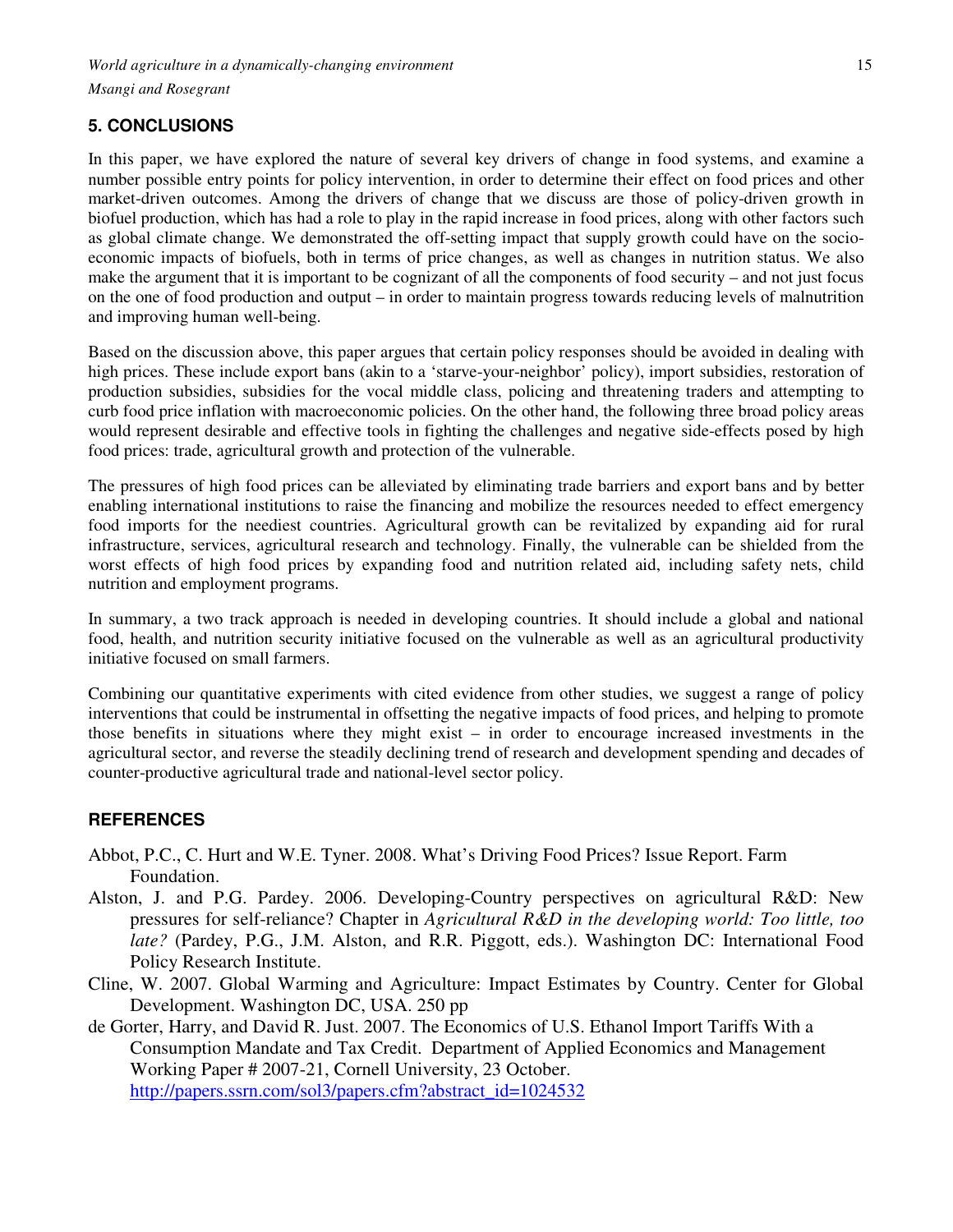# **5. CONCLUSIONS**

In this paper, we have explored the nature of several key drivers of change in food systems, and examine a number possible entry points for policy intervention, in order to determine their effect on food prices and other market-driven outcomes. Among the drivers of change that we discuss are those of policy-driven growth in biofuel production, which has had a role to play in the rapid increase in food prices, along with other factors such as global climate change. We demonstrated the off-setting impact that supply growth could have on the socioeconomic impacts of biofuels, both in terms of price changes, as well as changes in nutrition status. We also make the argument that it is important to be cognizant of all the components of food security – and not just focus on the one of food production and output – in order to maintain progress towards reducing levels of malnutrition and improving human well-being.

Based on the discussion above, this paper argues that certain policy responses should be avoided in dealing with high prices. These include export bans (akin to a 'starve-your-neighbor' policy), import subsidies, restoration of production subsidies, subsidies for the vocal middle class, policing and threatening traders and attempting to curb food price inflation with macroeconomic policies. On the other hand, the following three broad policy areas would represent desirable and effective tools in fighting the challenges and negative side-effects posed by high food prices: trade, agricultural growth and protection of the vulnerable.

The pressures of high food prices can be alleviated by eliminating trade barriers and export bans and by better enabling international institutions to raise the financing and mobilize the resources needed to effect emergency food imports for the neediest countries. Agricultural growth can be revitalized by expanding aid for rural infrastructure, services, agricultural research and technology. Finally, the vulnerable can be shielded from the worst effects of high food prices by expanding food and nutrition related aid, including safety nets, child nutrition and employment programs.

In summary, a two track approach is needed in developing countries. It should include a global and national food, health, and nutrition security initiative focused on the vulnerable as well as an agricultural productivity initiative focused on small farmers.

Combining our quantitative experiments with cited evidence from other studies, we suggest a range of policy interventions that could be instrumental in offsetting the negative impacts of food prices, and helping to promote those benefits in situations where they might exist – in order to encourage increased investments in the agricultural sector, and reverse the steadily declining trend of research and development spending and decades of counter-productive agricultural trade and national-level sector policy.

# **REFERENCES**

- Abbot, P.C., C. Hurt and W.E. Tyner. 2008. What's Driving Food Prices? Issue Report. Farm Foundation.
- Alston, J. and P.G. Pardey. 2006. Developing-Country perspectives on agricultural R&D: New pressures for self-reliance? Chapter in *Agricultural R&D in the developing world: Too little, too late?* (Pardey, P.G., J.M. Alston, and R.R. Piggott, eds.). Washington DC: International Food Policy Research Institute.
- Cline, W. 2007. Global Warming and Agriculture: Impact Estimates by Country. Center for Global Development. Washington DC, USA. 250 pp
- de Gorter, Harry, and David R. Just. 2007. The Economics of U.S. Ethanol Import Tariffs With a Consumption Mandate and Tax Credit. Department of Applied Economics and Management Working Paper # 2007-21, Cornell University, 23 October. http://papers.ssrn.com/sol3/papers.cfm?abstract\_id=1024532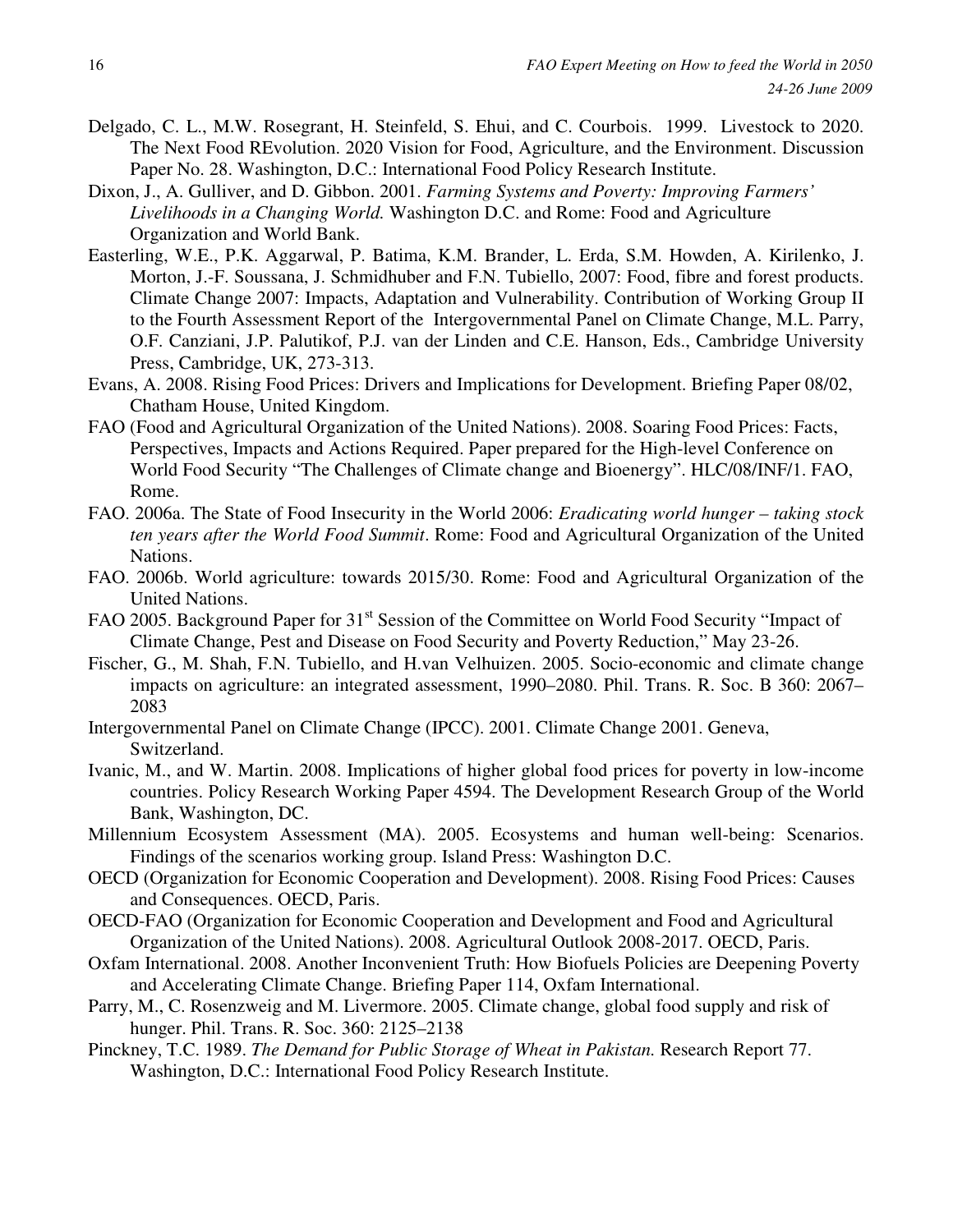- Delgado, C. L., M.W. Rosegrant, H. Steinfeld, S. Ehui, and C. Courbois. 1999. Livestock to 2020. The Next Food REvolution. 2020 Vision for Food, Agriculture, and the Environment. Discussion Paper No. 28. Washington, D.C.: International Food Policy Research Institute.
- Dixon, J., A. Gulliver, and D. Gibbon. 2001. *Farming Systems and Poverty: Improving Farmers' Livelihoods in a Changing World.* Washington D.C. and Rome: Food and Agriculture Organization and World Bank.
- Easterling, W.E., P.K. Aggarwal, P. Batima, K.M. Brander, L. Erda, S.M. Howden, A. Kirilenko, J. Morton, J.-F. Soussana, J. Schmidhuber and F.N. Tubiello, 2007: Food, fibre and forest products. Climate Change 2007: Impacts, Adaptation and Vulnerability. Contribution of Working Group II to the Fourth Assessment Report of the Intergovernmental Panel on Climate Change, M.L. Parry, O.F. Canziani, J.P. Palutikof, P.J. van der Linden and C.E. Hanson, Eds., Cambridge University Press, Cambridge, UK, 273-313.
- Evans, A. 2008. Rising Food Prices: Drivers and Implications for Development. Briefing Paper 08/02, Chatham House, United Kingdom.
- FAO (Food and Agricultural Organization of the United Nations). 2008. Soaring Food Prices: Facts, Perspectives, Impacts and Actions Required. Paper prepared for the High-level Conference on World Food Security "The Challenges of Climate change and Bioenergy". HLC/08/INF/1. FAO, Rome.
- FAO. 2006a. The State of Food Insecurity in the World 2006: *Eradicating world hunger taking stock ten years after the World Food Summit*. Rome: Food and Agricultural Organization of the United Nations.
- FAO. 2006b. World agriculture: towards 2015/30. Rome: Food and Agricultural Organization of the United Nations.
- FAO 2005. Background Paper for 31<sup>st</sup> Session of the Committee on World Food Security "Impact of Climate Change, Pest and Disease on Food Security and Poverty Reduction," May 23-26.
- Fischer, G., M. Shah, F.N. Tubiello, and H.van Velhuizen. 2005. Socio-economic and climate change impacts on agriculture: an integrated assessment, 1990–2080. Phil. Trans. R. Soc. B 360: 2067– 2083
- Intergovernmental Panel on Climate Change (IPCC). 2001. Climate Change 2001. Geneva, Switzerland.
- Ivanic, M., and W. Martin. 2008. Implications of higher global food prices for poverty in low-income countries. Policy Research Working Paper 4594. The Development Research Group of the World Bank, Washington, DC.
- Millennium Ecosystem Assessment (MA). 2005. Ecosystems and human well-being: Scenarios. Findings of the scenarios working group. Island Press: Washington D.C.
- OECD (Organization for Economic Cooperation and Development). 2008. Rising Food Prices: Causes and Consequences. OECD, Paris.
- OECD-FAO (Organization for Economic Cooperation and Development and Food and Agricultural Organization of the United Nations). 2008. Agricultural Outlook 2008-2017. OECD, Paris.
- Oxfam International. 2008. Another Inconvenient Truth: How Biofuels Policies are Deepening Poverty and Accelerating Climate Change. Briefing Paper 114, Oxfam International.
- Parry, M., C. Rosenzweig and M. Livermore. 2005. Climate change, global food supply and risk of hunger. Phil. Trans. R. Soc. 360: 2125–2138
- Pinckney, T.C. 1989. *The Demand for Public Storage of Wheat in Pakistan.* Research Report 77. Washington, D.C.: International Food Policy Research Institute.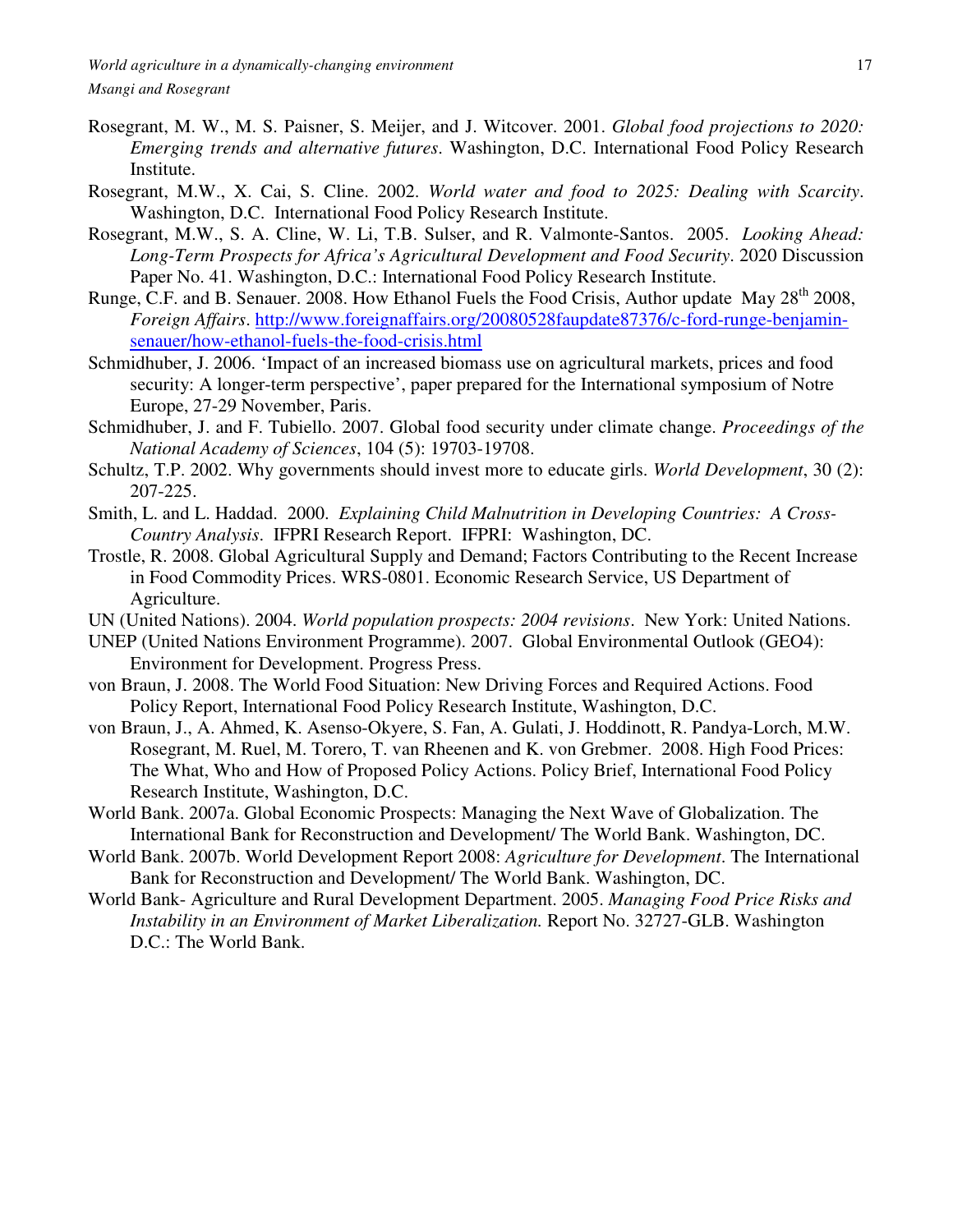- Rosegrant, M. W., M. S. Paisner, S. Meijer, and J. Witcover. 2001. *Global food projections to 2020: Emerging trends and alternative futures*. Washington, D.C. International Food Policy Research Institute.
- Rosegrant, M.W., X. Cai, S. Cline. 2002. *World water and food to 2025: Dealing with Scarcity*. Washington, D.C. International Food Policy Research Institute.
- Rosegrant, M.W., S. A. Cline, W. Li, T.B. Sulser, and R. Valmonte-Santos. 2005. *Looking Ahead: Long-Term Prospects for Africa's Agricultural Development and Food Security*. 2020 Discussion Paper No. 41. Washington, D.C.: International Food Policy Research Institute.
- Runge, C.F. and B. Senauer. 2008. How Ethanol Fuels the Food Crisis, Author update May 28<sup>th</sup> 2008, *Foreign Affairs*. http://www.foreignaffairs.org/20080528faupdate87376/c-ford-runge-benjaminsenauer/how-ethanol-fuels-the-food-crisis.html
- Schmidhuber, J. 2006. 'Impact of an increased biomass use on agricultural markets, prices and food security: A longer-term perspective', paper prepared for the International symposium of Notre Europe, 27-29 November, Paris.
- Schmidhuber, J. and F. Tubiello. 2007. Global food security under climate change. *Proceedings of the National Academy of Sciences*, 104 (5): 19703-19708.
- Schultz, T.P. 2002. Why governments should invest more to educate girls. *World Development*, 30 (2): 207-225.
- Smith, L. and L. Haddad. 2000. *Explaining Child Malnutrition in Developing Countries: A Cross-Country Analysis*. IFPRI Research Report. IFPRI: Washington, DC.
- Trostle, R. 2008. Global Agricultural Supply and Demand; Factors Contributing to the Recent Increase in Food Commodity Prices. WRS-0801. Economic Research Service, US Department of Agriculture.

UN (United Nations). 2004. *World population prospects: 2004 revisions*. New York: United Nations.

- UNEP (United Nations Environment Programme). 2007. Global Environmental Outlook (GEO4): Environment for Development. Progress Press.
- von Braun, J. 2008. The World Food Situation: New Driving Forces and Required Actions. Food Policy Report, International Food Policy Research Institute, Washington, D.C.
- von Braun, J., A. Ahmed, K. Asenso-Okyere, S. Fan, A. Gulati, J. Hoddinott, R. Pandya-Lorch, M.W. Rosegrant, M. Ruel, M. Torero, T. van Rheenen and K. von Grebmer. 2008. High Food Prices: The What, Who and How of Proposed Policy Actions. Policy Brief, International Food Policy Research Institute, Washington, D.C.
- World Bank. 2007a. Global Economic Prospects: Managing the Next Wave of Globalization. The International Bank for Reconstruction and Development/ The World Bank. Washington, DC.
- World Bank. 2007b. World Development Report 2008: *Agriculture for Development*. The International Bank for Reconstruction and Development/ The World Bank. Washington, DC.
- World Bank- Agriculture and Rural Development Department. 2005. *Managing Food Price Risks and Instability in an Environment of Market Liberalization.* Report No. 32727-GLB. Washington D.C.: The World Bank.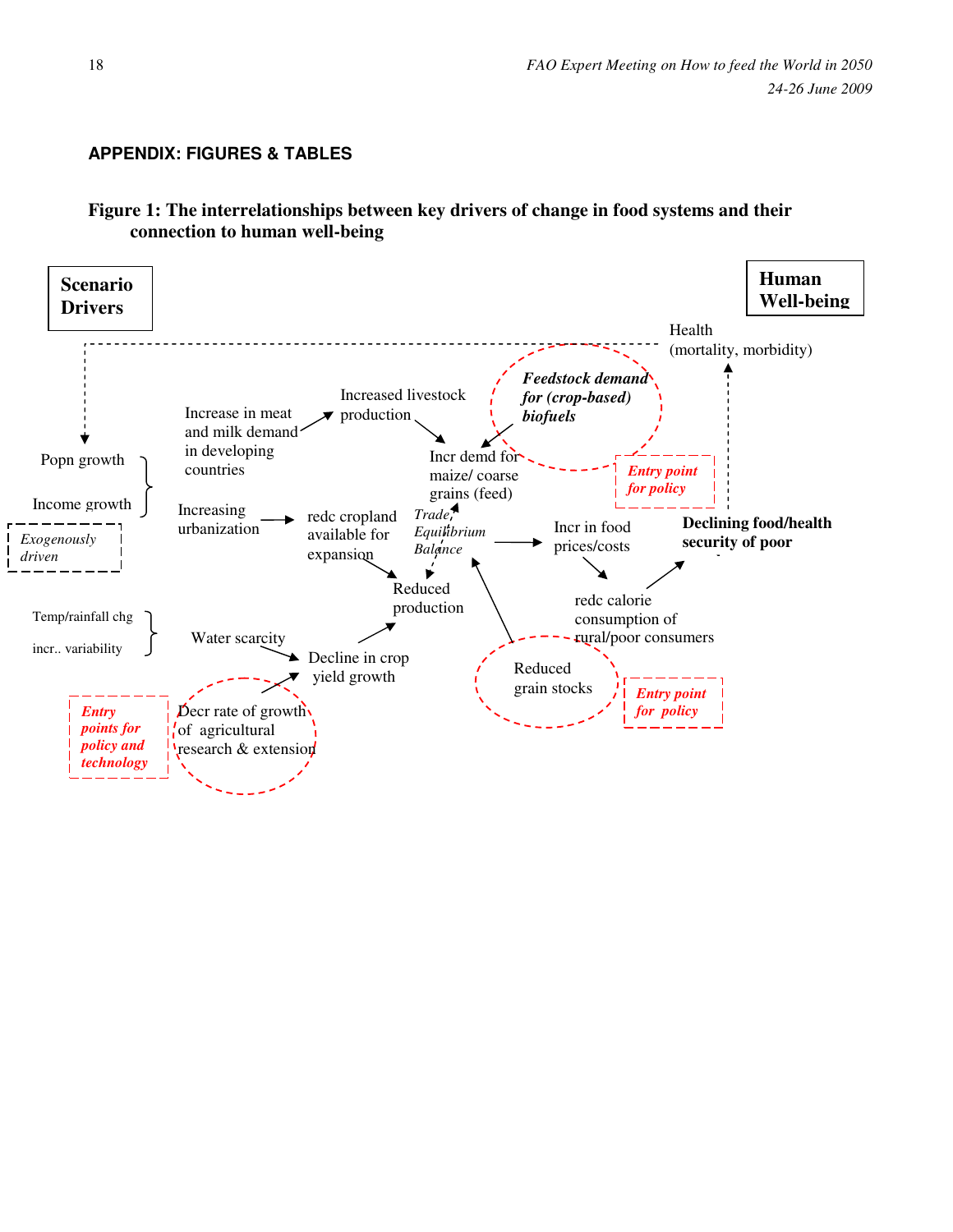# **APPENDIX: FIGURES & TABLES**

# **Figure 1: The interrelationships between key drivers of change in food systems and their connection to human well-being**

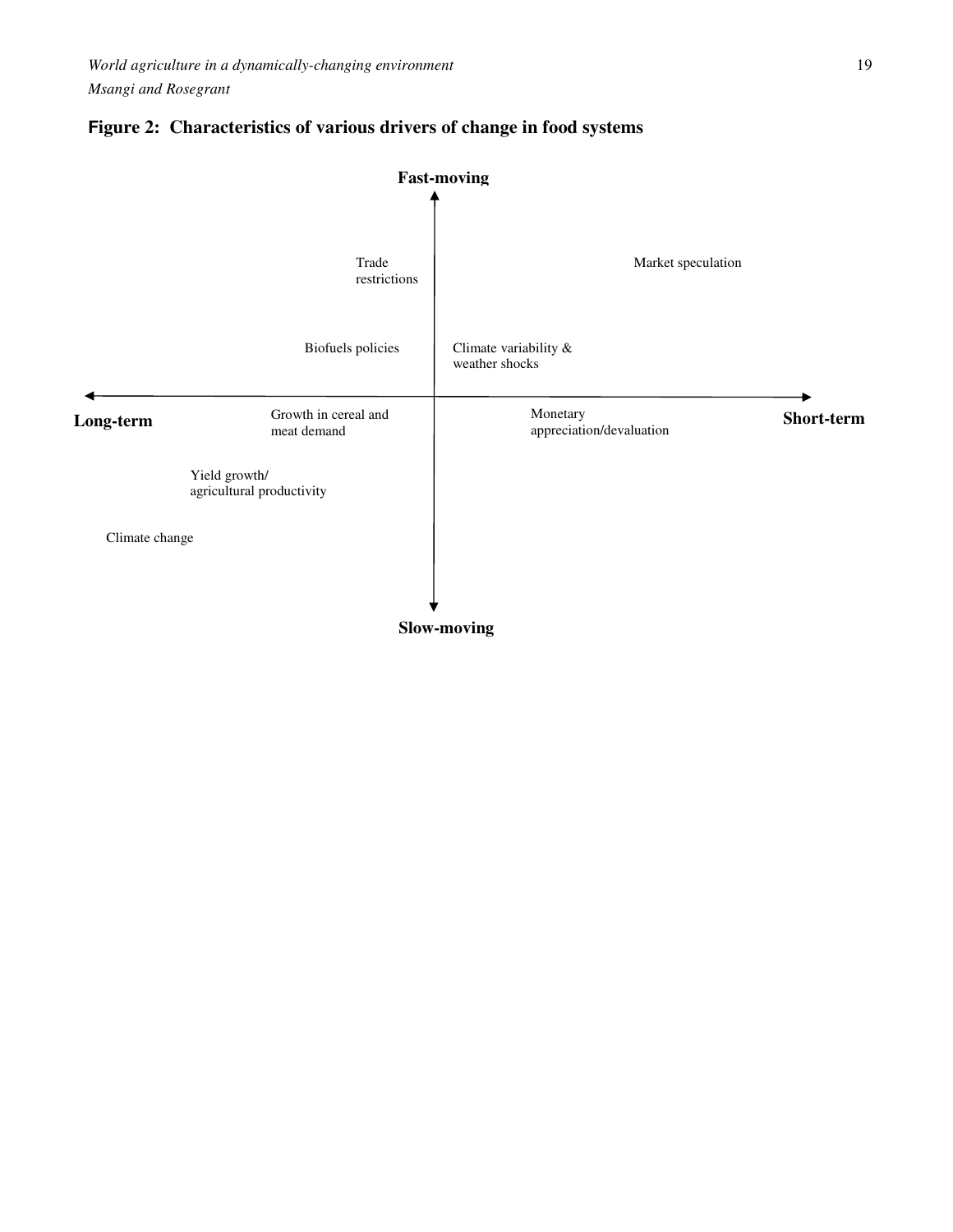

# **Figure 2: Characteristics of various drivers of change in food systems**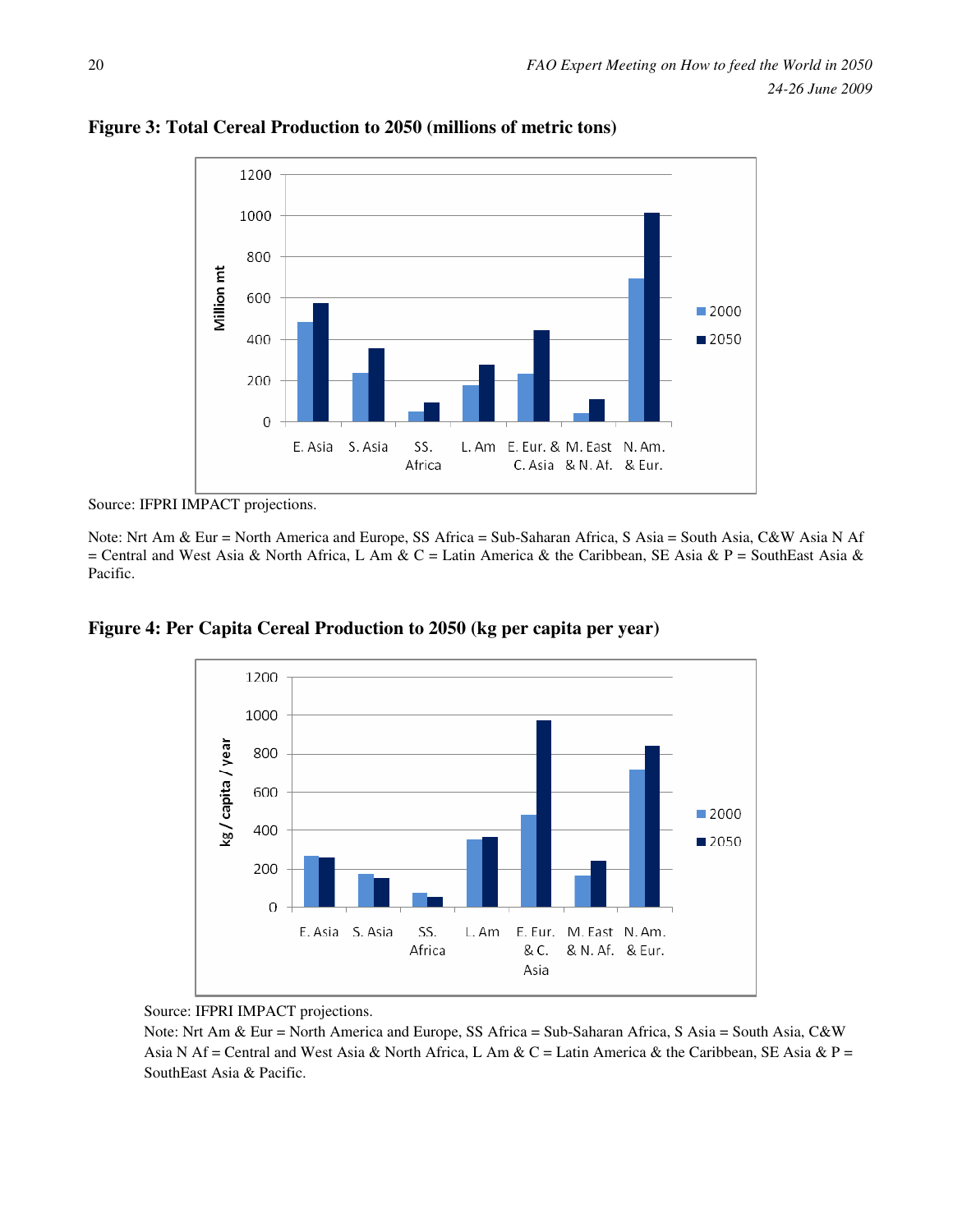

**Figure 3: Total Cereal Production to 2050 (millions of metric tons)** 

Source: IFPRI IMPACT projections.

Note: Nrt Am & Eur = North America and Europe, SS Africa = Sub-Saharan Africa, S Asia = South Asia, C&W Asia N Af = Central and West Asia & North Africa, L Am & C = Latin America & the Caribbean, SE Asia & P = SouthEast Asia & Pacific.

**Figure 4: Per Capita Cereal Production to 2050 (kg per capita per year)** 



Source: IFPRI IMPACT projections.

Note: Nrt Am & Eur = North America and Europe, SS Africa = Sub-Saharan Africa, S Asia = South Asia, C&W Asia N Af = Central and West Asia & North Africa, L Am & C = Latin America & the Caribbean, SE Asia & P = SouthEast Asia & Pacific.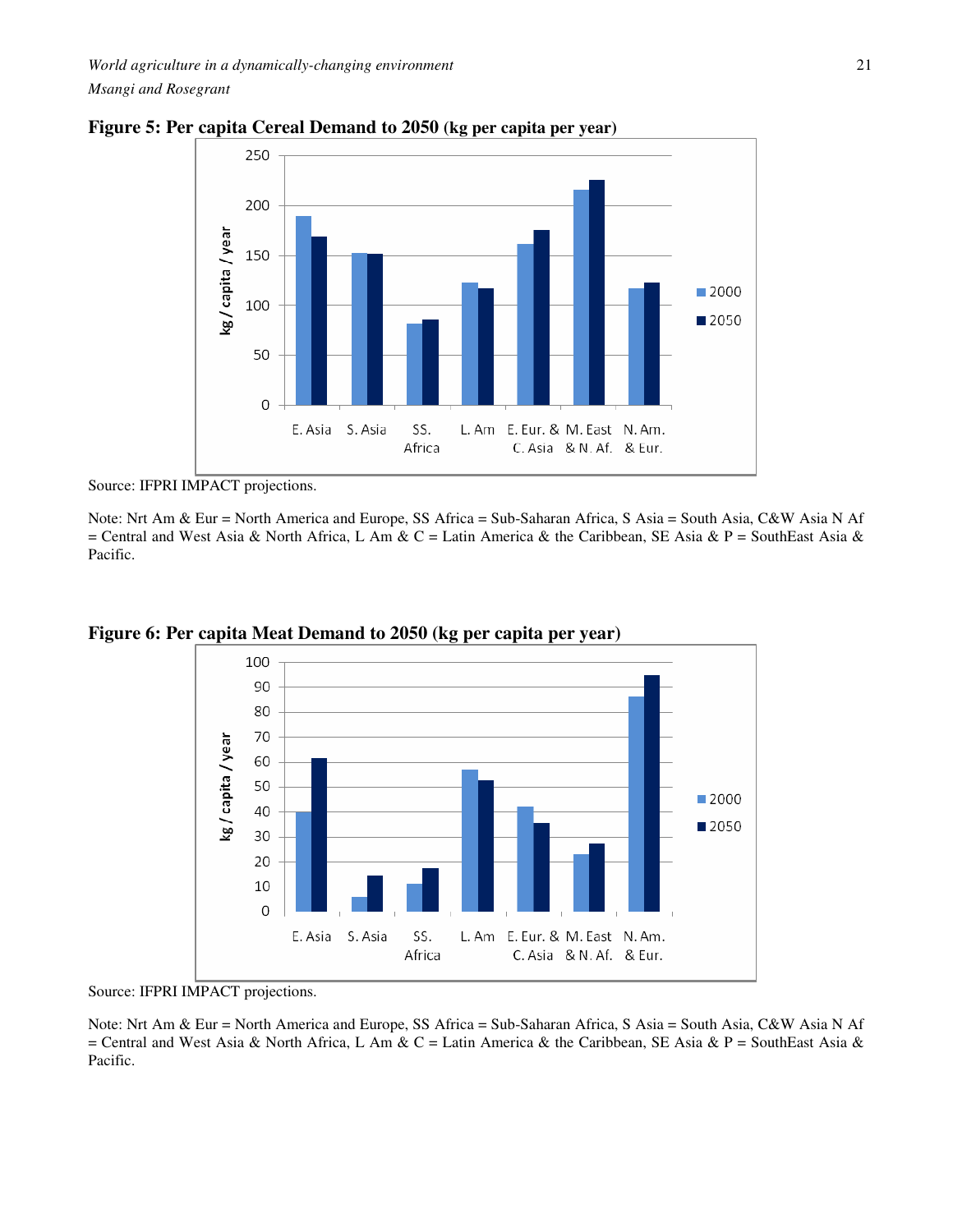

**Figure 5: Per capita Cereal Demand to 2050 (kg per capita per year)** 

Source: IFPRI IMPACT projections.

Note: Nrt Am & Eur = North America and Europe, SS Africa = Sub-Saharan Africa, S Asia = South Asia, C&W Asia N Af = Central and West Asia & North Africa, L Am & C = Latin America & the Caribbean, SE Asia & P = SouthEast Asia & Pacific.



**Figure 6: Per capita Meat Demand to 2050 (kg per capita per year)** 

Source: IFPRI IMPACT projections.

Note: Nrt Am & Eur = North America and Europe, SS Africa = Sub-Saharan Africa, S Asia = South Asia, C&W Asia N Af = Central and West Asia & North Africa, L Am & C = Latin America & the Caribbean, SE Asia & P = SouthEast Asia & Pacific.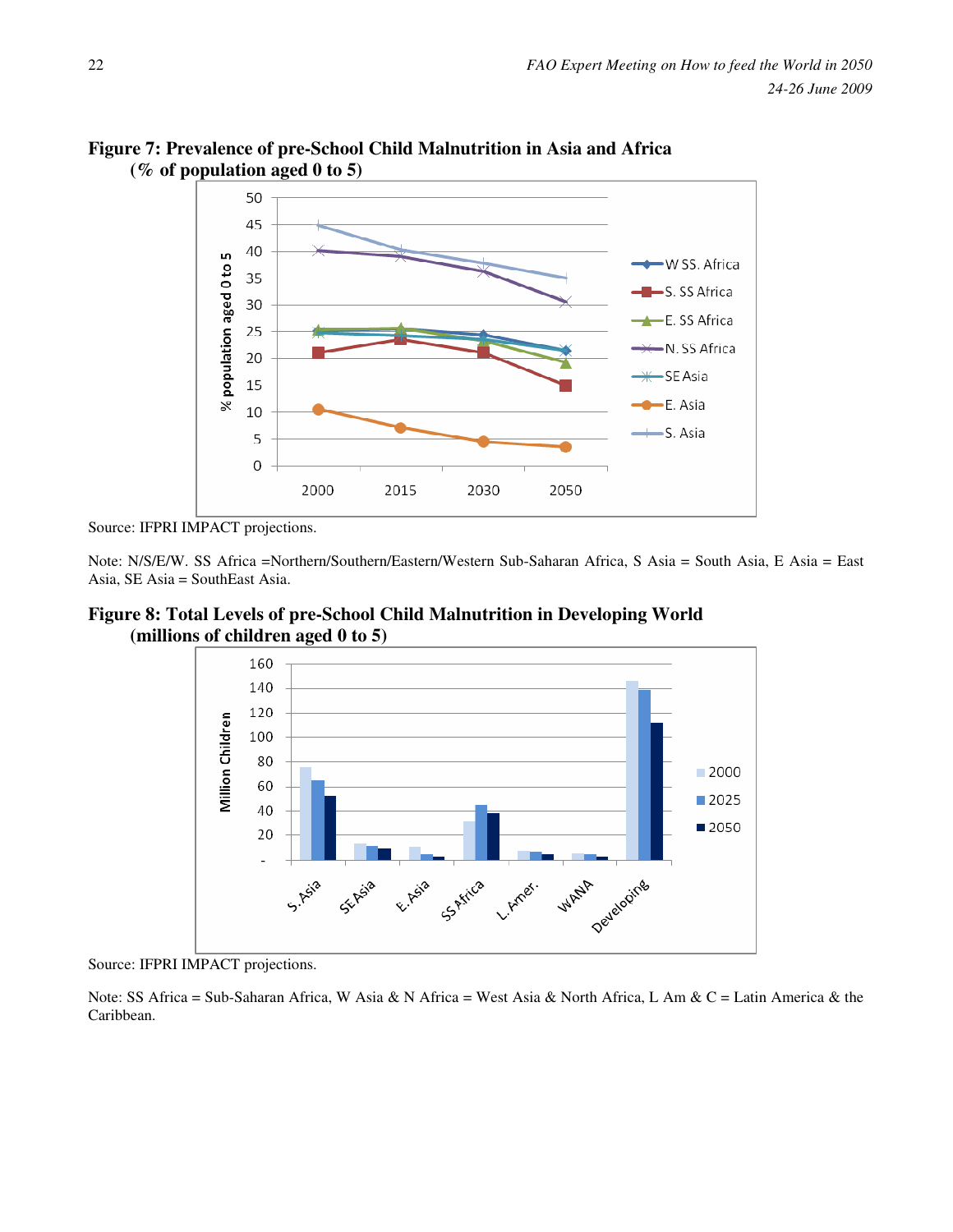

**Figure 7: Prevalence of pre-School Child Malnutrition in Asia and Africa (% of population aged 0 to 5)** 

Source: IFPRI IMPACT projections.

Note: N/S/E/W. SS Africa =Northern/Southern/Eastern/Western Sub-Saharan Africa, S Asia = South Asia, E Asia = East Asia, SE Asia = SouthEast Asia.

**Figure 8: Total Levels of pre-School Child Malnutrition in Developing World (millions of children aged 0 to 5)** 



Source: IFPRI IMPACT projections.

Note: SS Africa = Sub-Saharan Africa, W Asia & N Africa = West Asia & North Africa, L Am & C = Latin America & the Caribbean.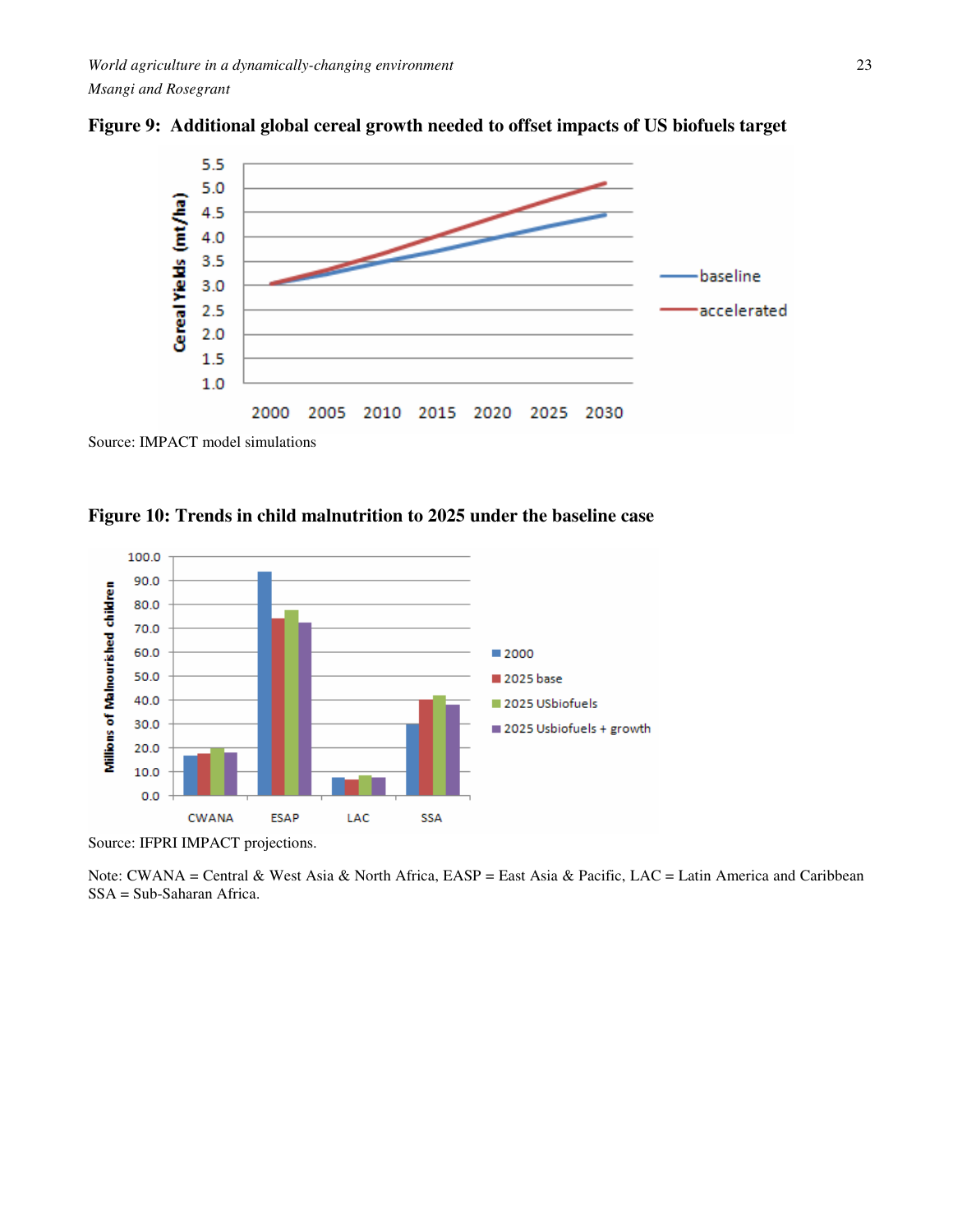



Source: IMPACT model simulations





Source: IFPRI IMPACT projections.

Note: CWANA = Central & West Asia & North Africa, EASP = East Asia & Pacific, LAC = Latin America and Caribbean SSA = Sub-Saharan Africa.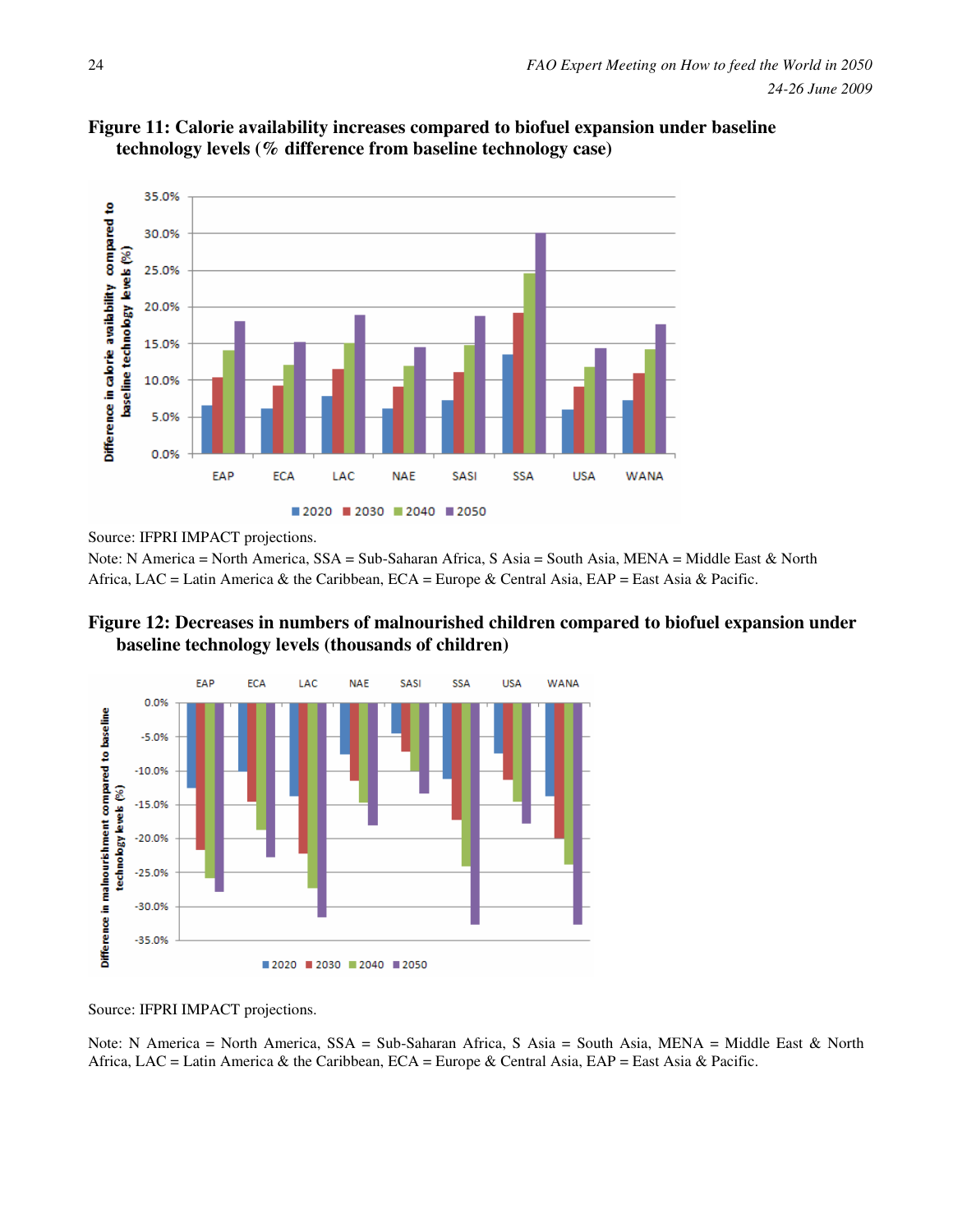



Source: IFPRI IMPACT projections.

Note: N America = North America, SSA = Sub-Saharan Africa, S Asia = South Asia, MENA = Middle East & North Africa, LAC = Latin America & the Caribbean, ECA = Europe & Central Asia, EAP = East Asia & Pacific.





Source: IFPRI IMPACT projections.

Note: N America = North America, SSA = Sub-Saharan Africa, S Asia = South Asia, MENA = Middle East & North Africa, LAC = Latin America & the Caribbean, ECA = Europe & Central Asia, EAP = East Asia & Pacific.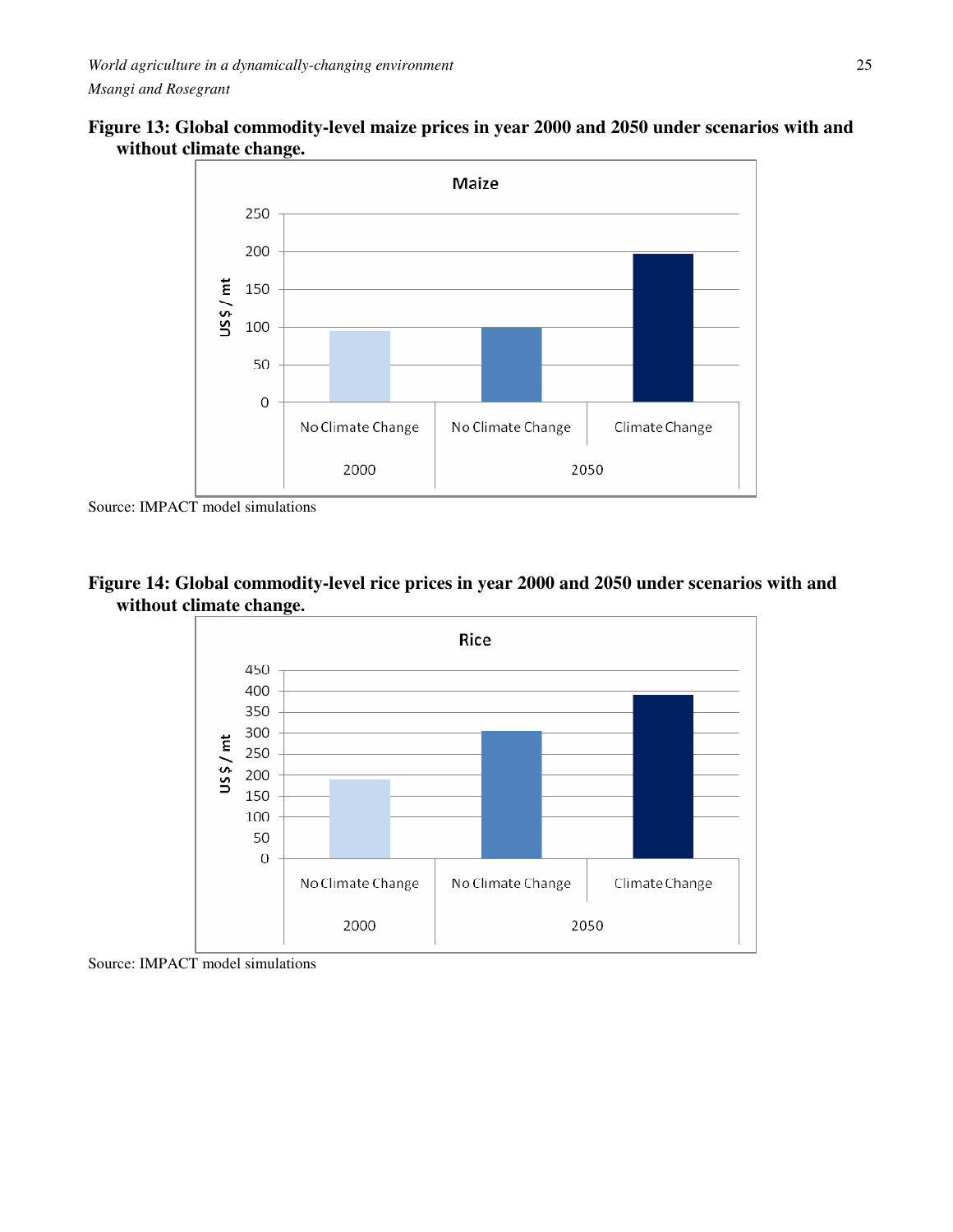



Source: IMPACT model simulations





Source: IMPACT model simulations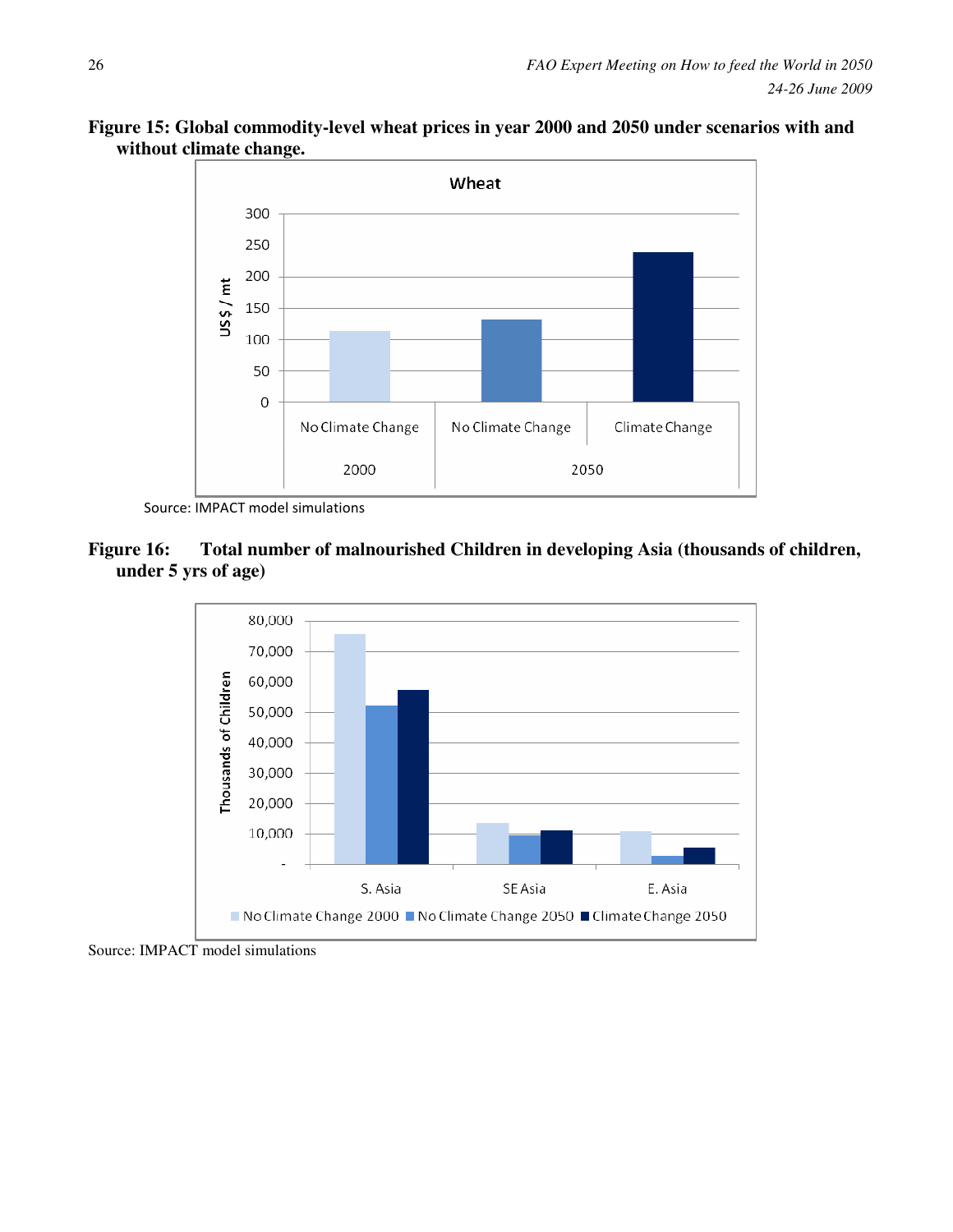



Source: IMPACT model simulations

# **Figure 16: Total number of malnourished Children in developing Asia (thousands of children, under 5 yrs of age)**



Source: IMPACT model simulations